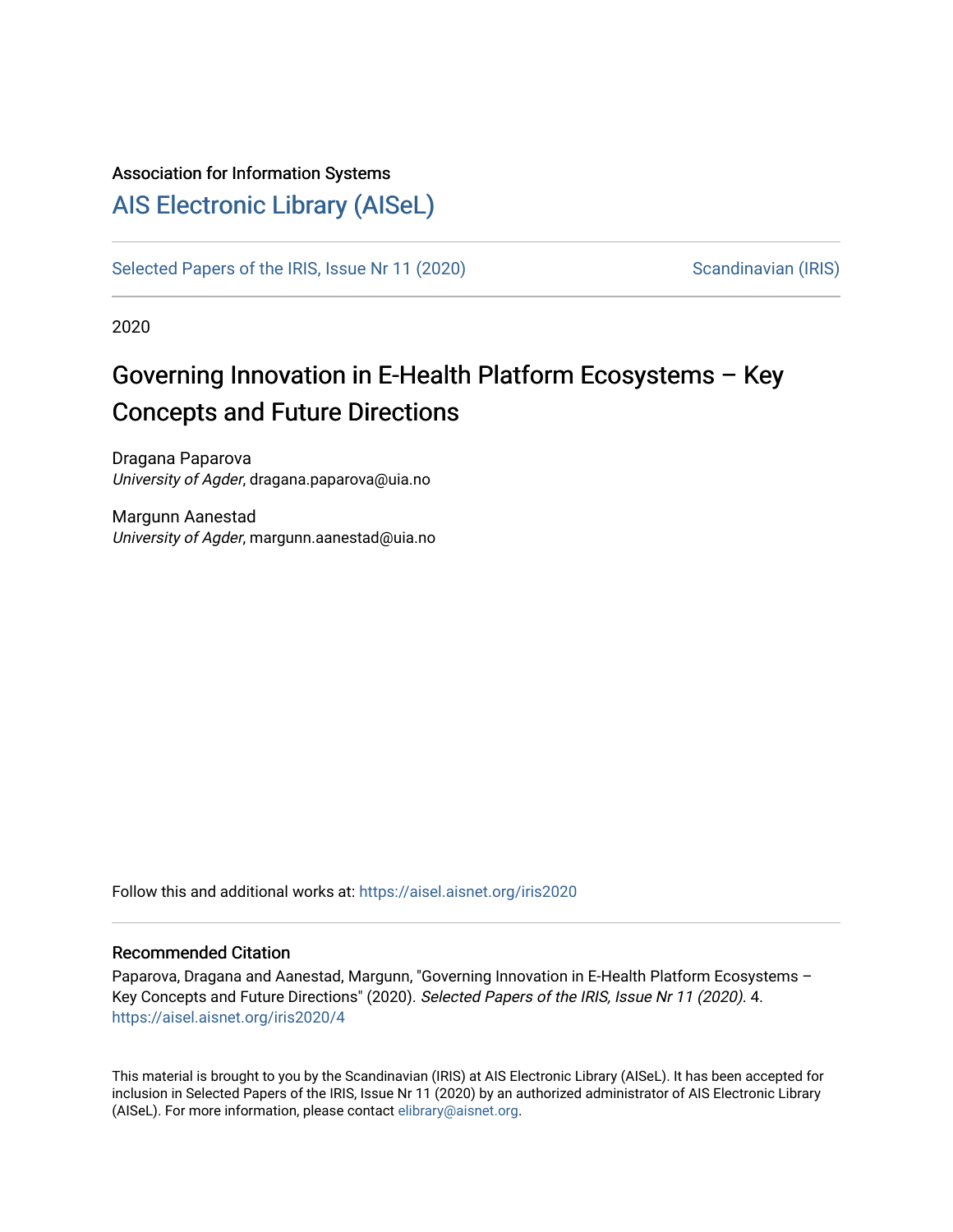#### Association for Information Systems

## [AIS Electronic Library \(AISeL\)](https://aisel.aisnet.org/)

[Selected Papers of the IRIS, Issue Nr 11 \(2020\)](https://aisel.aisnet.org/iris2020) [Scandinavian \(IRIS\)](https://aisel.aisnet.org/iris) Scandinavian (IRIS)

2020

# Governing Innovation in E-Health Platform Ecosystems – Key Concepts and Future Directions

Dragana Paparova University of Agder, dragana.paparova@uia.no

Margunn Aanestad University of Agder, margunn.aanestad@uia.no

Follow this and additional works at: [https://aisel.aisnet.org/iris2020](https://aisel.aisnet.org/iris2020?utm_source=aisel.aisnet.org%2Firis2020%2F4&utm_medium=PDF&utm_campaign=PDFCoverPages) 

#### Recommended Citation

Paparova, Dragana and Aanestad, Margunn, "Governing Innovation in E-Health Platform Ecosystems -Key Concepts and Future Directions" (2020). Selected Papers of the IRIS, Issue Nr 11 (2020). 4. [https://aisel.aisnet.org/iris2020/4](https://aisel.aisnet.org/iris2020/4?utm_source=aisel.aisnet.org%2Firis2020%2F4&utm_medium=PDF&utm_campaign=PDFCoverPages) 

This material is brought to you by the Scandinavian (IRIS) at AIS Electronic Library (AISeL). It has been accepted for inclusion in Selected Papers of the IRIS, Issue Nr 11 (2020) by an authorized administrator of AIS Electronic Library (AISeL). For more information, please contact [elibrary@aisnet.org](mailto:elibrary@aisnet.org%3E).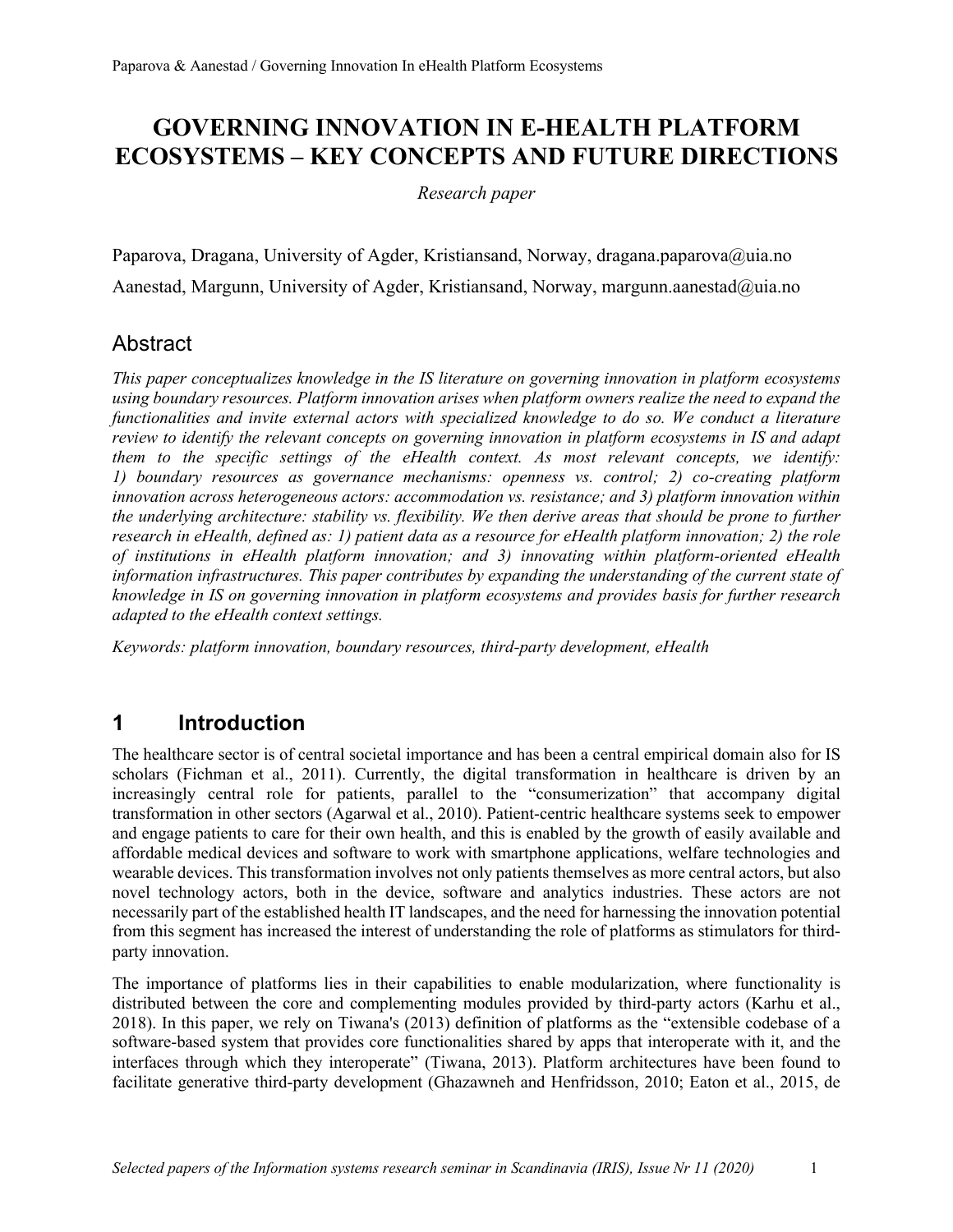## **GOVERNING INNOVATION IN E-HEALTH PLATFORM ECOSYSTEMS – KEY CONCEPTS AND FUTURE DIRECTIONS**

*Research paper*

Paparova, Dragana, University of Agder, Kristiansand, Norway, dragana.paparova@uia.no Aanestad, Margunn, University of Agder, Kristiansand, Norway, margunn.aanestad@uia.no

## **Abstract**

*This paper conceptualizes knowledge in the IS literature on governing innovation in platform ecosystems using boundary resources. Platform innovation arises when platform owners realize the need to expand the functionalities and invite external actors with specialized knowledge to do so. We conduct a literature review to identify the relevant concepts on governing innovation in platform ecosystems in IS and adapt them to the specific settings of the eHealth context. As most relevant concepts, we identify: 1) boundary resources as governance mechanisms: openness vs. control; 2) co-creating platform innovation across heterogeneous actors: accommodation vs. resistance; and 3) platform innovation within the underlying architecture: stability vs. flexibility. We then derive areas that should be prone to further research in eHealth, defined as: 1) patient data as a resource for eHealth platform innovation; 2) the role of institutions in eHealth platform innovation; and 3) innovating within platform-oriented eHealth information infrastructures. This paper contributes by expanding the understanding of the current state of knowledge in IS on governing innovation in platform ecosystems and provides basis for further research adapted to the eHealth context settings.*

*Keywords: platform innovation, boundary resources, third-party development, eHealth*

## **1 Introduction**

The healthcare sector is of central societal importance and has been a central empirical domain also for IS scholars (Fichman et al., 2011). Currently, the digital transformation in healthcare is driven by an increasingly central role for patients, parallel to the "consumerization" that accompany digital transformation in other sectors (Agarwal et al., 2010). Patient-centric healthcare systems seek to empower and engage patients to care for their own health, and this is enabled by the growth of easily available and affordable medical devices and software to work with smartphone applications, welfare technologies and wearable devices. This transformation involves not only patients themselves as more central actors, but also novel technology actors, both in the device, software and analytics industries. These actors are not necessarily part of the established health IT landscapes, and the need for harnessing the innovation potential from this segment has increased the interest of understanding the role of platforms as stimulators for thirdparty innovation.

The importance of platforms lies in their capabilities to enable modularization, where functionality is distributed between the core and complementing modules provided by third-party actors (Karhu et al., 2018). In this paper, we rely on Tiwana's (2013) definition of platforms as the "extensible codebase of a software-based system that provides core functionalities shared by apps that interoperate with it, and the interfaces through which they interoperate" (Tiwana, 2013). Platform architectures have been found to facilitate generative third-party development (Ghazawneh and Henfridsson, 2010; Eaton et al., 2015, de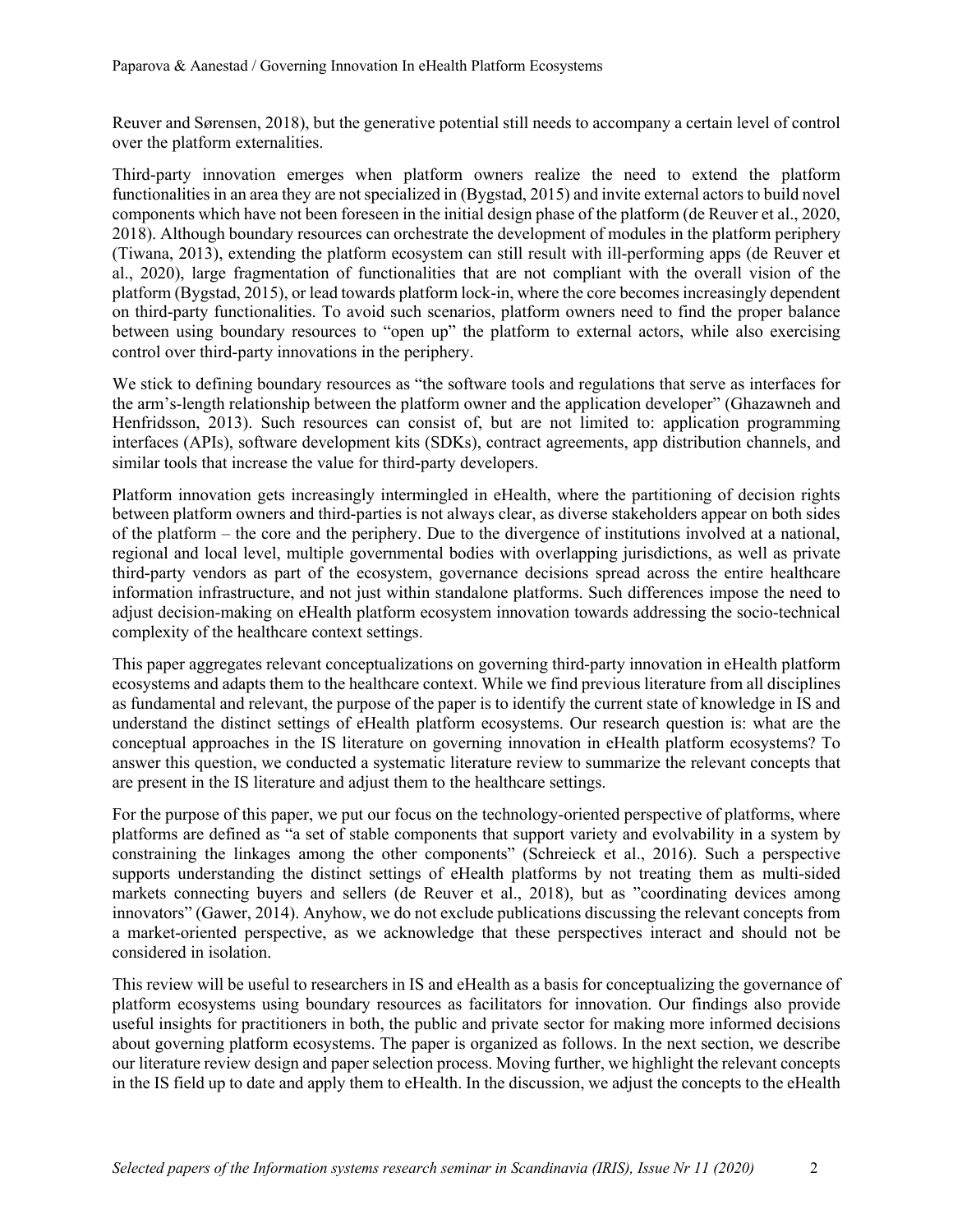Reuver and Sørensen, 2018), but the generative potential still needs to accompany a certain level of control over the platform externalities.

Third-party innovation emerges when platform owners realize the need to extend the platform functionalities in an area they are not specialized in (Bygstad, 2015) and invite external actors to build novel components which have not been foreseen in the initial design phase of the platform (de Reuver et al., 2020, 2018). Although boundary resources can orchestrate the development of modules in the platform periphery (Tiwana, 2013), extending the platform ecosystem can still result with ill-performing apps (de Reuver et al., 2020), large fragmentation of functionalities that are not compliant with the overall vision of the platform (Bygstad, 2015), or lead towards platform lock-in, where the core becomes increasingly dependent on third-party functionalities. To avoid such scenarios, platform owners need to find the proper balance between using boundary resources to "open up" the platform to external actors, while also exercising control over third-party innovations in the periphery.

We stick to defining boundary resources as "the software tools and regulations that serve as interfaces for the arm's-length relationship between the platform owner and the application developer" (Ghazawneh and Henfridsson, 2013). Such resources can consist of, but are not limited to: application programming interfaces (APIs), software development kits (SDKs), contract agreements, app distribution channels, and similar tools that increase the value for third-party developers.

Platform innovation gets increasingly intermingled in eHealth, where the partitioning of decision rights between platform owners and third-parties is not always clear, as diverse stakeholders appear on both sides of the platform – the core and the periphery. Due to the divergence of institutions involved at a national, regional and local level, multiple governmental bodies with overlapping jurisdictions, as well as private third-party vendors as part of the ecosystem, governance decisions spread across the entire healthcare information infrastructure, and not just within standalone platforms. Such differences impose the need to adjust decision-making on eHealth platform ecosystem innovation towards addressing the socio-technical complexity of the healthcare context settings.

This paper aggregates relevant conceptualizations on governing third-party innovation in eHealth platform ecosystems and adapts them to the healthcare context. While we find previous literature from all disciplines as fundamental and relevant, the purpose of the paper is to identify the current state of knowledge in IS and understand the distinct settings of eHealth platform ecosystems. Our research question is: what are the conceptual approaches in the IS literature on governing innovation in eHealth platform ecosystems? To answer this question, we conducted a systematic literature review to summarize the relevant concepts that are present in the IS literature and adjust them to the healthcare settings.

For the purpose of this paper, we put our focus on the technology-oriented perspective of platforms, where platforms are defined as "a set of stable components that support variety and evolvability in a system by constraining the linkages among the other components" (Schreieck et al., 2016). Such a perspective supports understanding the distinct settings of eHealth platforms by not treating them as multi-sided markets connecting buyers and sellers (de Reuver et al., 2018), but as "coordinating devices among innovators" (Gawer, 2014). Anyhow, we do not exclude publications discussing the relevant concepts from a market-oriented perspective, as we acknowledge that these perspectives interact and should not be considered in isolation.

This review will be useful to researchers in IS and eHealth as a basis for conceptualizing the governance of platform ecosystems using boundary resources as facilitators for innovation. Our findings also provide useful insights for practitioners in both, the public and private sector for making more informed decisions about governing platform ecosystems. The paper is organized as follows. In the next section, we describe our literature review design and paper selection process. Moving further, we highlight the relevant concepts in the IS field up to date and apply them to eHealth. In the discussion, we adjust the concepts to the eHealth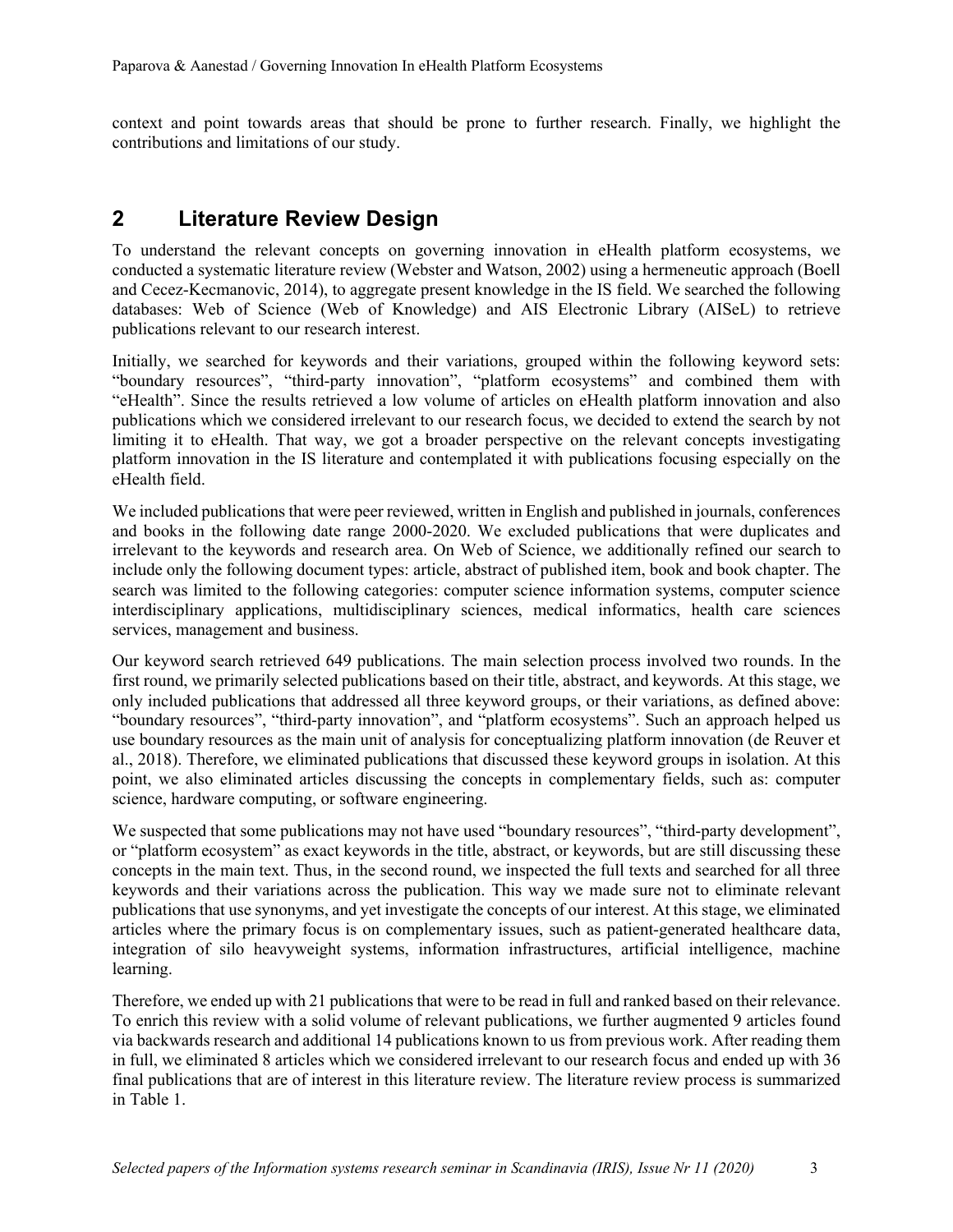context and point towards areas that should be prone to further research. Finally, we highlight the contributions and limitations of our study.

### **2 Literature Review Design**

To understand the relevant concepts on governing innovation in eHealth platform ecosystems, we conducted a systematic literature review (Webster and Watson, 2002) using a hermeneutic approach (Boell and Cecez-Kecmanovic, 2014), to aggregate present knowledge in the IS field. We searched the following databases: Web of Science (Web of Knowledge) and AIS Electronic Library (AISeL) to retrieve publications relevant to our research interest.

Initially, we searched for keywords and their variations, grouped within the following keyword sets: "boundary resources", "third-party innovation", "platform ecosystems" and combined them with "eHealth". Since the results retrieved a low volume of articles on eHealth platform innovation and also publications which we considered irrelevant to our research focus, we decided to extend the search by not limiting it to eHealth. That way, we got a broader perspective on the relevant concepts investigating platform innovation in the IS literature and contemplated it with publications focusing especially on the eHealth field.

We included publications that were peer reviewed, written in English and published in journals, conferences and books in the following date range 2000-2020. We excluded publications that were duplicates and irrelevant to the keywords and research area. On Web of Science, we additionally refined our search to include only the following document types: article, abstract of published item, book and book chapter. The search was limited to the following categories: computer science information systems, computer science interdisciplinary applications, multidisciplinary sciences, medical informatics, health care sciences services, management and business.

Our keyword search retrieved 649 publications. The main selection process involved two rounds. In the first round, we primarily selected publications based on their title, abstract, and keywords. At this stage, we only included publications that addressed all three keyword groups, or their variations, as defined above: "boundary resources", "third-party innovation", and "platform ecosystems". Such an approach helped us use boundary resources as the main unit of analysis for conceptualizing platform innovation (de Reuver et al., 2018). Therefore, we eliminated publications that discussed these keyword groups in isolation. At this point, we also eliminated articles discussing the concepts in complementary fields, such as: computer science, hardware computing, or software engineering.

We suspected that some publications may not have used "boundary resources", "third-party development", or "platform ecosystem" as exact keywords in the title, abstract, or keywords, but are still discussing these concepts in the main text. Thus, in the second round, we inspected the full texts and searched for all three keywords and their variations across the publication. This way we made sure not to eliminate relevant publications that use synonyms, and yet investigate the concepts of our interest. At this stage, we eliminated articles where the primary focus is on complementary issues, such as patient-generated healthcare data, integration of silo heavyweight systems, information infrastructures, artificial intelligence, machine learning.

Therefore, we ended up with 21 publications that were to be read in full and ranked based on their relevance. To enrich this review with a solid volume of relevant publications, we further augmented 9 articles found via backwards research and additional 14 publications known to us from previous work. After reading them in full, we eliminated 8 articles which we considered irrelevant to our research focus and ended up with 36 final publications that are of interest in this literature review. The literature review process is summarized in Table 1.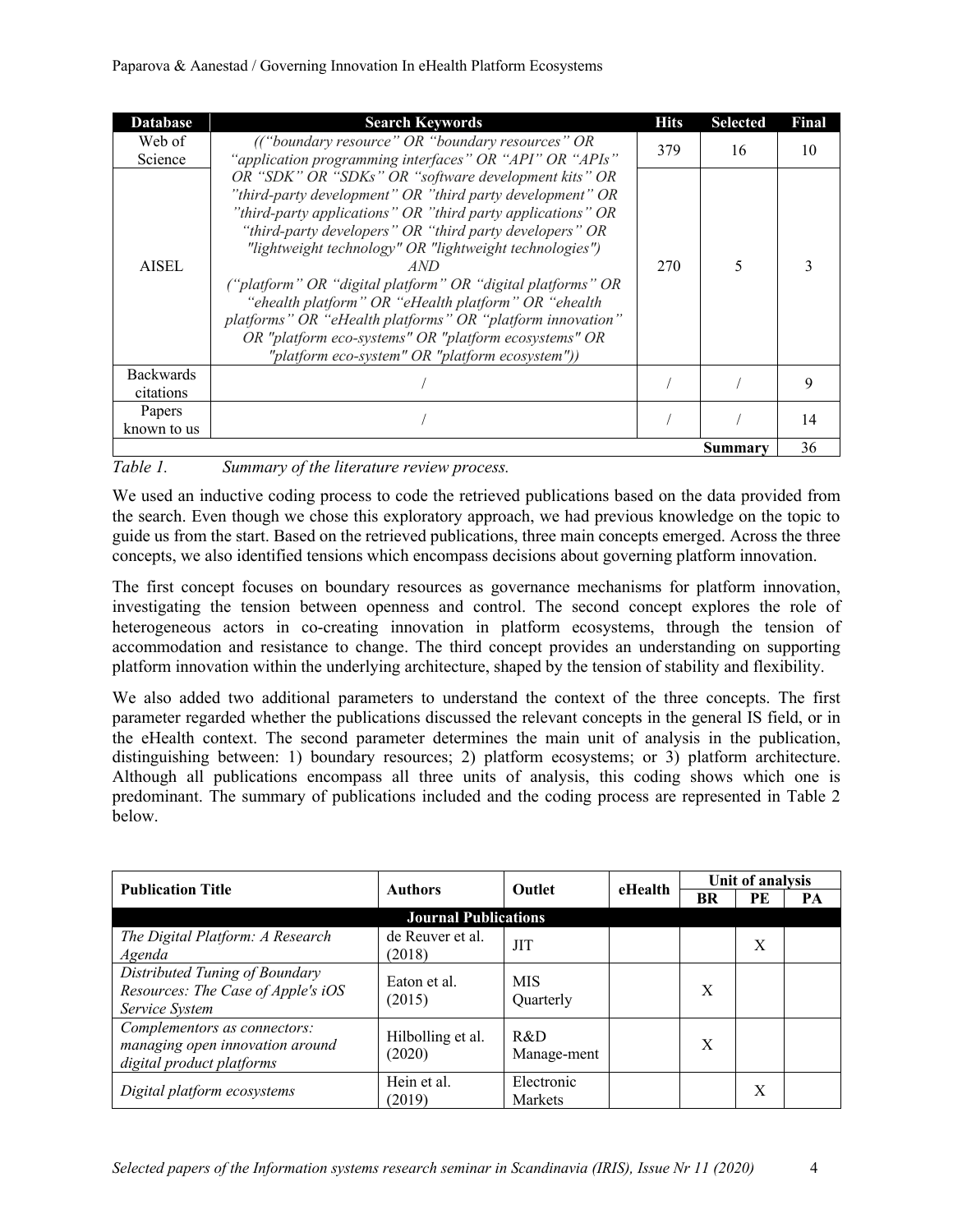#### Paparova & Aanestad / Governing Innovation In eHealth Platform Ecosystems

| <b>Database</b>               | <b>Search Keywords</b>                                                                                                                                                                                                                                                                                                                                                                                                                                                                                                                                                                                         | <b>Hits</b> | <b>Selected</b> | Final |
|-------------------------------|----------------------------------------------------------------------------------------------------------------------------------------------------------------------------------------------------------------------------------------------------------------------------------------------------------------------------------------------------------------------------------------------------------------------------------------------------------------------------------------------------------------------------------------------------------------------------------------------------------------|-------------|-----------------|-------|
| Web of                        | (("boundary resource" OR "boundary resources" OR                                                                                                                                                                                                                                                                                                                                                                                                                                                                                                                                                               | 379         | 16              | 10    |
| Science                       | "application programming interfaces" OR "API" OR "APIs"                                                                                                                                                                                                                                                                                                                                                                                                                                                                                                                                                        |             |                 |       |
| <b>AISEL</b>                  | OR "SDK" OR "SDKs" OR "software development kits" OR<br>"third-party development" OR "third party development" OR<br>"third-party applications" OR "third party applications" OR<br>"third-party developers" OR "third party developers" OR<br>"lightweight technology" OR "lightweight technologies")<br>AND<br>("platform" OR "digital platform" OR "digital platforms" OR<br>"ehealth platform" OR "eHealth platform" OR "ehealth<br>platforms" OR "eHealth platforms" OR "platform innovation"<br>OR "platform eco-systems" OR "platform ecosystems" OR<br>"platform eco-system" OR "platform ecosystem")) | 270         | 5               |       |
| <b>Backwards</b><br>citations |                                                                                                                                                                                                                                                                                                                                                                                                                                                                                                                                                                                                                |             |                 | 9     |
| Papers<br>known to us         |                                                                                                                                                                                                                                                                                                                                                                                                                                                                                                                                                                                                                |             |                 | 14    |
|                               |                                                                                                                                                                                                                                                                                                                                                                                                                                                                                                                                                                                                                |             | Summary         | 36    |

*Table 1. Summary of the literature review process.*

We used an inductive coding process to code the retrieved publications based on the data provided from the search. Even though we chose this exploratory approach, we had previous knowledge on the topic to guide us from the start. Based on the retrieved publications, three main concepts emerged. Across the three concepts, we also identified tensions which encompass decisions about governing platform innovation.

The first concept focuses on boundary resources as governance mechanisms for platform innovation, investigating the tension between openness and control. The second concept explores the role of heterogeneous actors in co-creating innovation in platform ecosystems, through the tension of accommodation and resistance to change. The third concept provides an understanding on supporting platform innovation within the underlying architecture, shaped by the tension of stability and flexibility.

We also added two additional parameters to understand the context of the three concepts. The first parameter regarded whether the publications discussed the relevant concepts in the general IS field, or in the eHealth context. The second parameter determines the main unit of analysis in the publication, distinguishing between: 1) boundary resources; 2) platform ecosystems; or 3) platform architecture. Although all publications encompass all three units of analysis, this coding shows which one is predominant. The summary of publications included and the coding process are represented in Table 2 below.

| <b>Publication Title</b>                                                                     | Authors                     | <b>Outlet</b>           | eHealth | Unit of analysis |    |    |
|----------------------------------------------------------------------------------------------|-----------------------------|-------------------------|---------|------------------|----|----|
|                                                                                              |                             |                         |         | BR               | PE | PА |
|                                                                                              | <b>Journal Publications</b> |                         |         |                  |    |    |
| The Digital Platform: A Research<br>Agenda                                                   | de Reuver et al.<br>(2018)  | <b>JIT</b>              |         |                  | X  |    |
| Distributed Tuning of Boundary<br>Resources: The Case of Apple's iOS<br>Service System       | Eaton et al.<br>(2015)      | <b>MIS</b><br>Ouarterly |         | X                |    |    |
| Complementors as connectors:<br>managing open innovation around<br>digital product platforms | Hilbolling et al.<br>(2020) | R&D<br>Manage-ment      |         | X                |    |    |
| Digital platform ecosystems                                                                  | Hein et al.<br>(2019)       | Electronic<br>Markets   |         |                  | X  |    |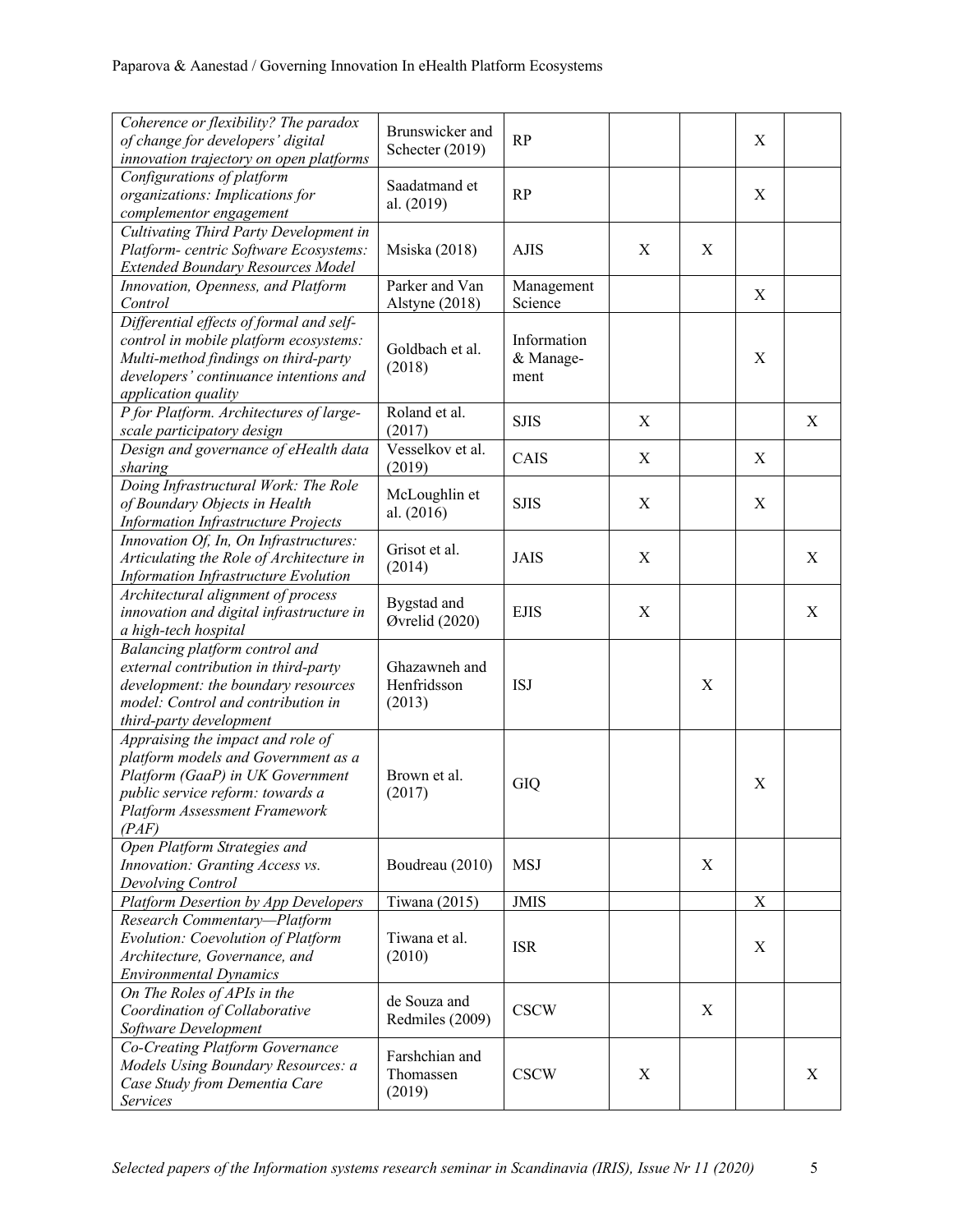| Coherence or flexibility? The paradox<br>of change for developers' digital<br>innovation trajectory on open platforms                                                                             | Brunswicker and<br>Schecter (2019)     | <b>RP</b>                        |   |             | X |                           |
|---------------------------------------------------------------------------------------------------------------------------------------------------------------------------------------------------|----------------------------------------|----------------------------------|---|-------------|---|---------------------------|
| Configurations of platform<br>organizations: Implications for<br>complementor engagement                                                                                                          | Saadatmand et<br>al. (2019)            | <b>RP</b>                        |   |             | X |                           |
| Cultivating Third Party Development in<br>Platform- centric Software Ecosystems:<br><b>Extended Boundary Resources Model</b>                                                                      | Msiska (2018)                          | <b>AJIS</b>                      | X | $\mathbf X$ |   |                           |
| Innovation, Openness, and Platform<br>Control                                                                                                                                                     | Parker and Van<br>Alstyne (2018)       | Management<br>Science            |   |             | X |                           |
| Differential effects of formal and self-<br>control in mobile platform ecosystems:<br>Multi-method findings on third-party<br>developers' continuance intentions and<br>application quality       | Goldbach et al.<br>(2018)              | Information<br>& Manage-<br>ment |   |             | X |                           |
| P for Platform. Architectures of large-<br>scale participatory design                                                                                                                             | Roland et al.<br>(2017)                | <b>SJIS</b>                      | X |             |   | X                         |
| Design and governance of eHealth data<br>sharing                                                                                                                                                  | Vesselkov et al.<br>(2019)             | CAIS                             | Χ |             | X |                           |
| Doing Infrastructural Work: The Role<br>of Boundary Objects in Health<br><b>Information Infrastructure Projects</b>                                                                               | McLoughlin et<br>al. (2016)            | <b>SJIS</b>                      | X |             | X |                           |
| Innovation Of, In, On Infrastructures:<br>Articulating the Role of Architecture in<br>Information Infrastructure Evolution                                                                        | Grisot et al.<br>(2014)                | <b>JAIS</b>                      | X |             |   | $\boldsymbol{\mathrm{X}}$ |
| Architectural alignment of process<br>innovation and digital infrastructure in<br>a high-tech hospital                                                                                            | Bygstad and<br>Øvrelid (2020)          | <b>EJIS</b>                      | X |             |   | X                         |
| Balancing platform control and<br>external contribution in third-party<br>development: the boundary resources<br>model: Control and contribution in<br>third-party development                    | Ghazawneh and<br>Henfridsson<br>(2013) | <b>ISJ</b>                       |   | X           |   |                           |
| Appraising the impact and role of<br>platform models and Government as a<br>Platform (GaaP) in UK Government<br>public service reform: towards a<br><b>Platform Assessment Framework</b><br>(PAF) | Brown et al.<br>(2017)                 | GIQ                              |   |             | X |                           |
| Open Platform Strategies and<br>Innovation: Granting Access vs.<br>Devolving Control                                                                                                              | Boudreau (2010)                        | <b>MSJ</b>                       |   | X           |   |                           |
| <b>Platform Desertion by App Developers</b>                                                                                                                                                       | Tiwana (2015)                          | <b>JMIS</b>                      |   |             | X |                           |
| Research Commentary-Platform<br>Evolution: Coevolution of Platform<br>Architecture, Governance, and<br><b>Environmental Dynamics</b>                                                              | Tiwana et al.<br>(2010)                | <b>ISR</b>                       |   |             | X |                           |
| On The Roles of APIs in the<br>Coordination of Collaborative<br>Software Development                                                                                                              | de Souza and<br>Redmiles (2009)        | <b>CSCW</b>                      |   | X           |   |                           |
| Co-Creating Platform Governance<br>Models Using Boundary Resources: a<br>Case Study from Dementia Care<br>Services                                                                                | Farshchian and<br>Thomassen<br>(2019)  | <b>CSCW</b>                      | X |             |   | X                         |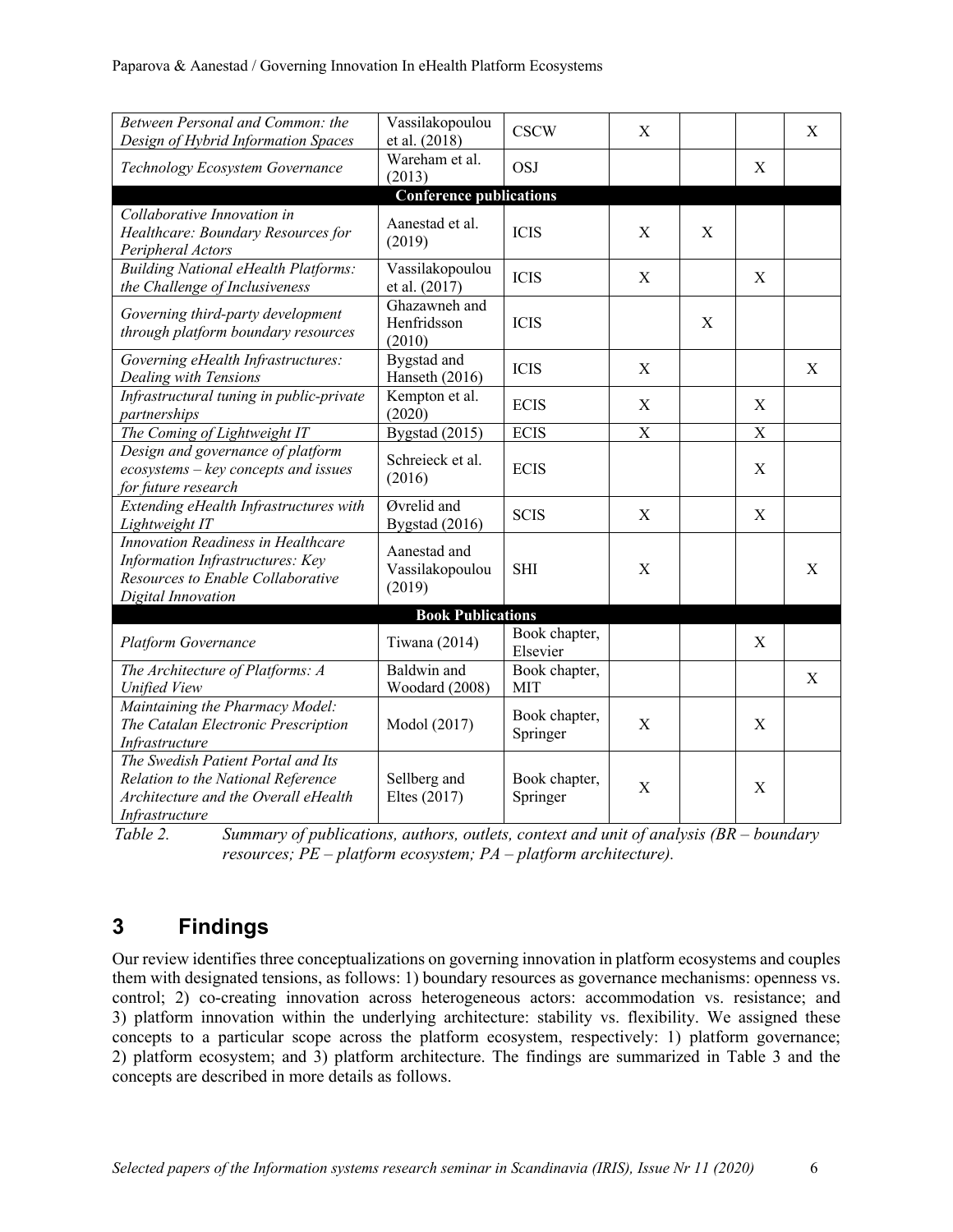| Between Personal and Common: the<br>Vassilakopoulou                                                                                |                                           |                             |                           |   |                           |   |
|------------------------------------------------------------------------------------------------------------------------------------|-------------------------------------------|-----------------------------|---------------------------|---|---------------------------|---|
| Design of Hybrid Information Spaces                                                                                                | et al. (2018)                             | <b>CSCW</b>                 | X                         |   |                           | X |
| Technology Ecosystem Governance                                                                                                    | Wareham et al.<br>(2013)                  | <b>OSJ</b>                  |                           |   | X                         |   |
|                                                                                                                                    | <b>Conference publications</b>            |                             |                           |   |                           |   |
| Collaborative Innovation in<br>Healthcare: Boundary Resources for<br>Peripheral Actors                                             | Aanestad et al.<br>(2019)                 | <b>ICIS</b>                 | X                         | X |                           |   |
| <b>Building National eHealth Platforms:</b><br>the Challenge of Inclusiveness                                                      | Vassilakopoulou<br>et al. (2017)          | <b>ICIS</b>                 | X                         |   | X                         |   |
| Governing third-party development<br>through platform boundary resources                                                           | Ghazawneh and<br>Henfridsson<br>(2010)    | <b>ICIS</b>                 |                           | X |                           |   |
| Governing eHealth Infrastructures:<br>Dealing with Tensions                                                                        | Bygstad and<br>Hanseth (2016)             | <b>ICIS</b>                 | X                         |   |                           | X |
| Infrastructural tuning in public-private<br>partnerships                                                                           | Kempton et al.<br>(2020)                  | <b>ECIS</b>                 | X                         |   | X                         |   |
| The Coming of Lightweight IT                                                                                                       | Bygstad (2015)                            | <b>ECIS</b>                 | $\boldsymbol{\mathrm{X}}$ |   | $\boldsymbol{\mathrm{X}}$ |   |
| Design and governance of platform<br>ecosystems - key concepts and issues<br>for future research                                   | Schreieck et al.<br>(2016)                | <b>ECIS</b>                 |                           |   | X                         |   |
| Extending eHealth Infrastructures with<br>Lightweight IT                                                                           | Øvrelid and<br>Bygstad (2016)             | <b>SCIS</b>                 | X                         |   | X                         |   |
| Innovation Readiness in Healthcare<br>Information Infrastructures: Key<br>Resources to Enable Collaborative<br>Digital Innovation  | Aanestad and<br>Vassilakopoulou<br>(2019) | <b>SHI</b>                  | X                         |   |                           | X |
|                                                                                                                                    | <b>Book Publications</b>                  |                             |                           |   |                           |   |
| <b>Platform Governance</b>                                                                                                         | Tiwana (2014)                             | Book chapter,<br>Elsevier   |                           |   | X                         |   |
| The Architecture of Platforms: A<br><b>Unified View</b>                                                                            | Baldwin and<br>Woodard (2008)             | Book chapter,<br><b>MIT</b> |                           |   |                           | X |
| Maintaining the Pharmacy Model:<br>The Catalan Electronic Prescription<br>Infrastructure                                           | Modol (2017)                              | Book chapter,<br>Springer   | X                         |   | X                         |   |
| The Swedish Patient Portal and Its<br>Relation to the National Reference<br>Architecture and the Overall eHealth<br>Infrastructure | Sellberg and<br>Eltes (2017)              | Book chapter,<br>Springer   | X                         |   | X                         |   |

*Table 2. Summary of publications, authors, outlets, context and unit of analysis (BR – boundary resources; PE – platform ecosystem; PA – platform architecture).*

## **3 Findings**

Our review identifies three conceptualizations on governing innovation in platform ecosystems and couples them with designated tensions, as follows: 1) boundary resources as governance mechanisms: openness vs. control; 2) co-creating innovation across heterogeneous actors: accommodation vs. resistance; and 3) platform innovation within the underlying architecture: stability vs. flexibility. We assigned these concepts to a particular scope across the platform ecosystem, respectively: 1) platform governance; 2) platform ecosystem; and 3) platform architecture. The findings are summarized in Table 3 and the concepts are described in more details as follows.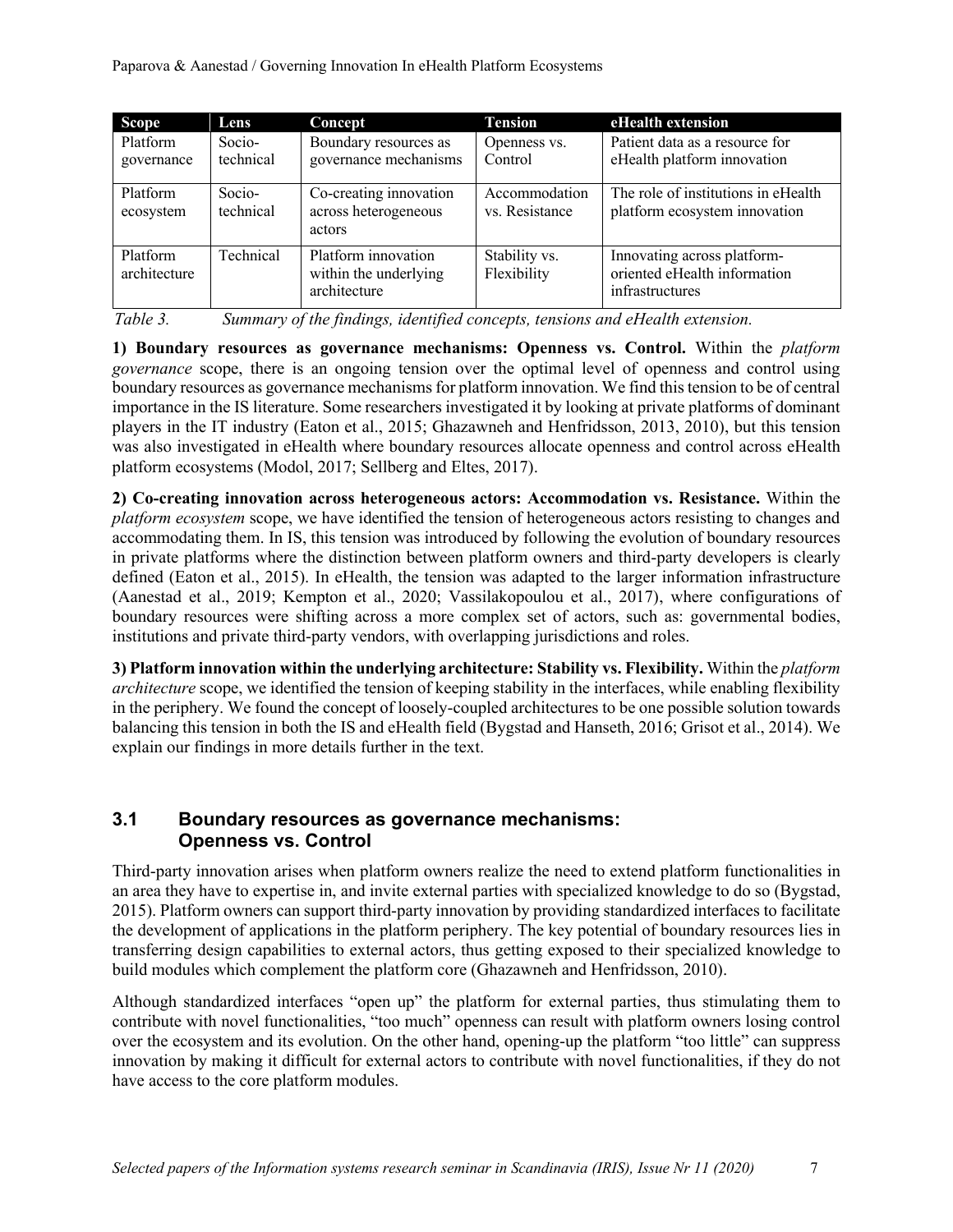| <b>Scope</b>             | Lens                | Concept                                                      | <b>Tension</b>                  | eHealth extension                                                              |
|--------------------------|---------------------|--------------------------------------------------------------|---------------------------------|--------------------------------------------------------------------------------|
| Platform<br>governance   | Socio-<br>technical | Boundary resources as<br>governance mechanisms               | Openness vs.<br>Control         | Patient data as a resource for<br>eHealth platform innovation                  |
| Platform<br>ecosystem    | Socio-<br>technical | Co-creating innovation<br>across heterogeneous<br>actors     | Accommodation<br>vs. Resistance | The role of institutions in eHealth<br>platform ecosystem innovation           |
| Platform<br>architecture | Technical           | Platform innovation<br>within the underlying<br>architecture | Stability vs.<br>Flexibility    | Innovating across platform-<br>oriented eHealth information<br>infrastructures |

| Table 3. | Summary of the findings, identified concepts, tensions and eHealth extension. |  |  |  |  |
|----------|-------------------------------------------------------------------------------|--|--|--|--|
|          |                                                                               |  |  |  |  |

**1) Boundary resources as governance mechanisms: Openness vs. Control.** Within the *platform governance* scope, there is an ongoing tension over the optimal level of openness and control using boundary resources as governance mechanisms for platform innovation. We find this tension to be of central importance in the IS literature. Some researchers investigated it by looking at private platforms of dominant players in the IT industry (Eaton et al., 2015; Ghazawneh and Henfridsson, 2013, 2010), but this tension was also investigated in eHealth where boundary resources allocate openness and control across eHealth platform ecosystems (Modol, 2017; Sellberg and Eltes, 2017).

**2) Co-creating innovation across heterogeneous actors: Accommodation vs. Resistance.** Within the *platform ecosystem* scope, we have identified the tension of heterogeneous actors resisting to changes and accommodating them. In IS, this tension was introduced by following the evolution of boundary resources in private platforms where the distinction between platform owners and third-party developers is clearly defined (Eaton et al., 2015). In eHealth, the tension was adapted to the larger information infrastructure (Aanestad et al., 2019; Kempton et al., 2020; Vassilakopoulou et al., 2017), where configurations of boundary resources were shifting across a more complex set of actors, such as: governmental bodies, institutions and private third-party vendors, with overlapping jurisdictions and roles.

**3) Platform innovation within the underlying architecture: Stability vs. Flexibility.** Within the *platform architecture* scope, we identified the tension of keeping stability in the interfaces, while enabling flexibility in the periphery. We found the concept of loosely-coupled architectures to be one possible solution towards balancing this tension in both the IS and eHealth field (Bygstad and Hanseth, 2016; Grisot et al., 2014). We explain our findings in more details further in the text.

#### **3.1 Boundary resources as governance mechanisms: Openness vs. Control**

Third-party innovation arises when platform owners realize the need to extend platform functionalities in an area they have to expertise in, and invite external parties with specialized knowledge to do so (Bygstad, 2015). Platform owners can support third-party innovation by providing standardized interfaces to facilitate the development of applications in the platform periphery. The key potential of boundary resources lies in transferring design capabilities to external actors, thus getting exposed to their specialized knowledge to build modules which complement the platform core (Ghazawneh and Henfridsson, 2010).

Although standardized interfaces "open up" the platform for external parties, thus stimulating them to contribute with novel functionalities, "too much" openness can result with platform owners losing control over the ecosystem and its evolution. On the other hand, opening-up the platform "too little" can suppress innovation by making it difficult for external actors to contribute with novel functionalities, if they do not have access to the core platform modules.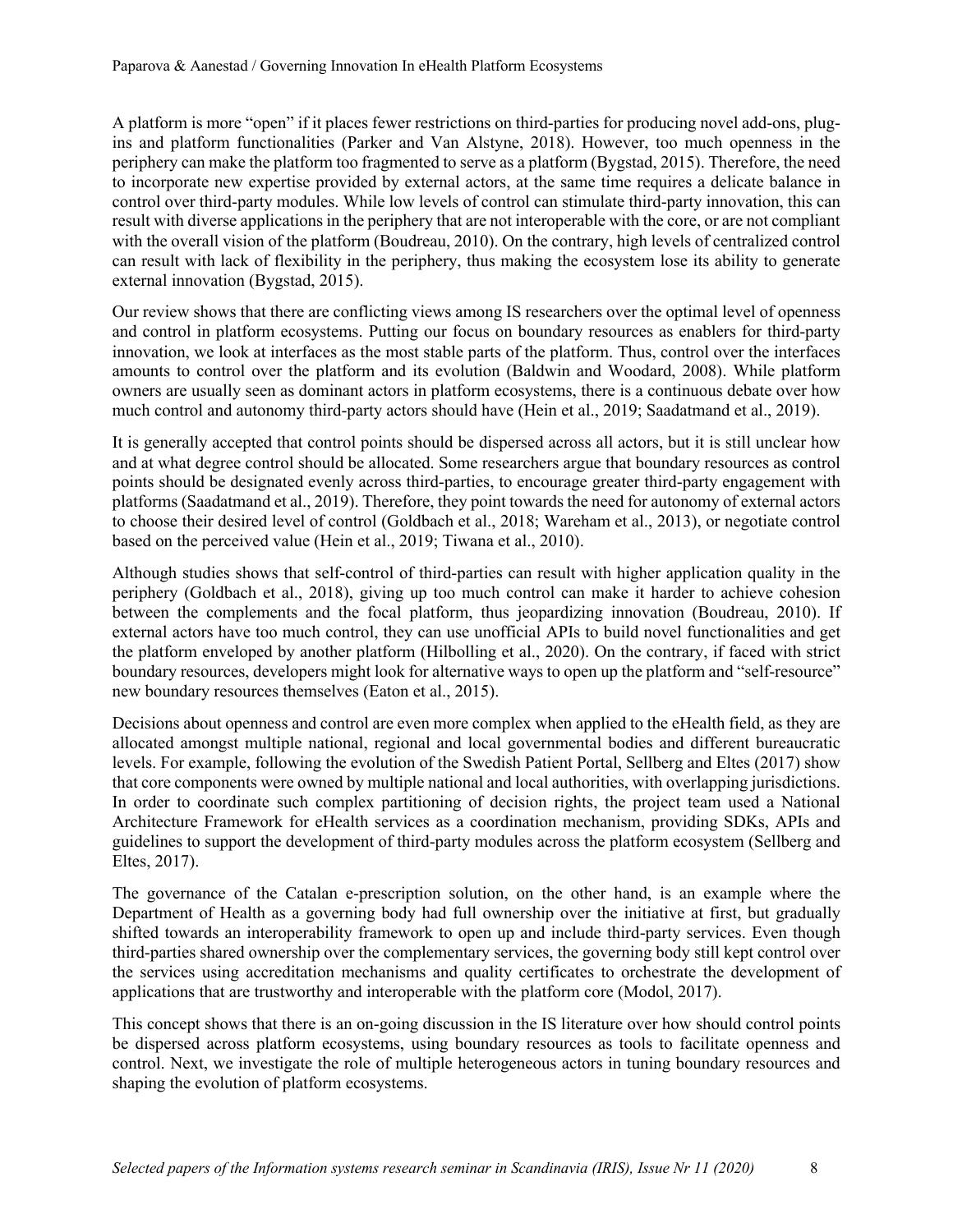A platform is more "open" if it places fewer restrictions on third-parties for producing novel add-ons, plugins and platform functionalities (Parker and Van Alstyne, 2018). However, too much openness in the periphery can make the platform too fragmented to serve as a platform (Bygstad, 2015). Therefore, the need to incorporate new expertise provided by external actors, at the same time requires a delicate balance in control over third-party modules. While low levels of control can stimulate third-party innovation, this can result with diverse applications in the periphery that are not interoperable with the core, or are not compliant with the overall vision of the platform (Boudreau, 2010). On the contrary, high levels of centralized control can result with lack of flexibility in the periphery, thus making the ecosystem lose its ability to generate external innovation (Bygstad, 2015).

Our review shows that there are conflicting views among IS researchers over the optimal level of openness and control in platform ecosystems. Putting our focus on boundary resources as enablers for third-party innovation, we look at interfaces as the most stable parts of the platform. Thus, control over the interfaces amounts to control over the platform and its evolution (Baldwin and Woodard, 2008). While platform owners are usually seen as dominant actors in platform ecosystems, there is a continuous debate over how much control and autonomy third-party actors should have (Hein et al., 2019; Saadatmand et al., 2019).

It is generally accepted that control points should be dispersed across all actors, but it is still unclear how and at what degree control should be allocated. Some researchers argue that boundary resources as control points should be designated evenly across third-parties, to encourage greater third-party engagement with platforms (Saadatmand et al., 2019). Therefore, they point towards the need for autonomy of external actors to choose their desired level of control (Goldbach et al., 2018; Wareham et al., 2013), or negotiate control based on the perceived value (Hein et al., 2019; Tiwana et al., 2010).

Although studies shows that self-control of third-parties can result with higher application quality in the periphery (Goldbach et al., 2018), giving up too much control can make it harder to achieve cohesion between the complements and the focal platform, thus jeopardizing innovation (Boudreau, 2010). If external actors have too much control, they can use unofficial APIs to build novel functionalities and get the platform enveloped by another platform (Hilbolling et al., 2020). On the contrary, if faced with strict boundary resources, developers might look for alternative ways to open up the platform and "self-resource" new boundary resources themselves (Eaton et al., 2015).

Decisions about openness and control are even more complex when applied to the eHealth field, as they are allocated amongst multiple national, regional and local governmental bodies and different bureaucratic levels. For example, following the evolution of the Swedish Patient Portal, Sellberg and Eltes (2017) show that core components were owned by multiple national and local authorities, with overlapping jurisdictions. In order to coordinate such complex partitioning of decision rights, the project team used a National Architecture Framework for eHealth services as a coordination mechanism, providing SDKs, APIs and guidelines to support the development of third-party modules across the platform ecosystem (Sellberg and Eltes, 2017).

The governance of the Catalan e-prescription solution, on the other hand, is an example where the Department of Health as a governing body had full ownership over the initiative at first, but gradually shifted towards an interoperability framework to open up and include third-party services. Even though third-parties shared ownership over the complementary services, the governing body still kept control over the services using accreditation mechanisms and quality certificates to orchestrate the development of applications that are trustworthy and interoperable with the platform core (Modol, 2017).

This concept shows that there is an on-going discussion in the IS literature over how should control points be dispersed across platform ecosystems, using boundary resources as tools to facilitate openness and control. Next, we investigate the role of multiple heterogeneous actors in tuning boundary resources and shaping the evolution of platform ecosystems.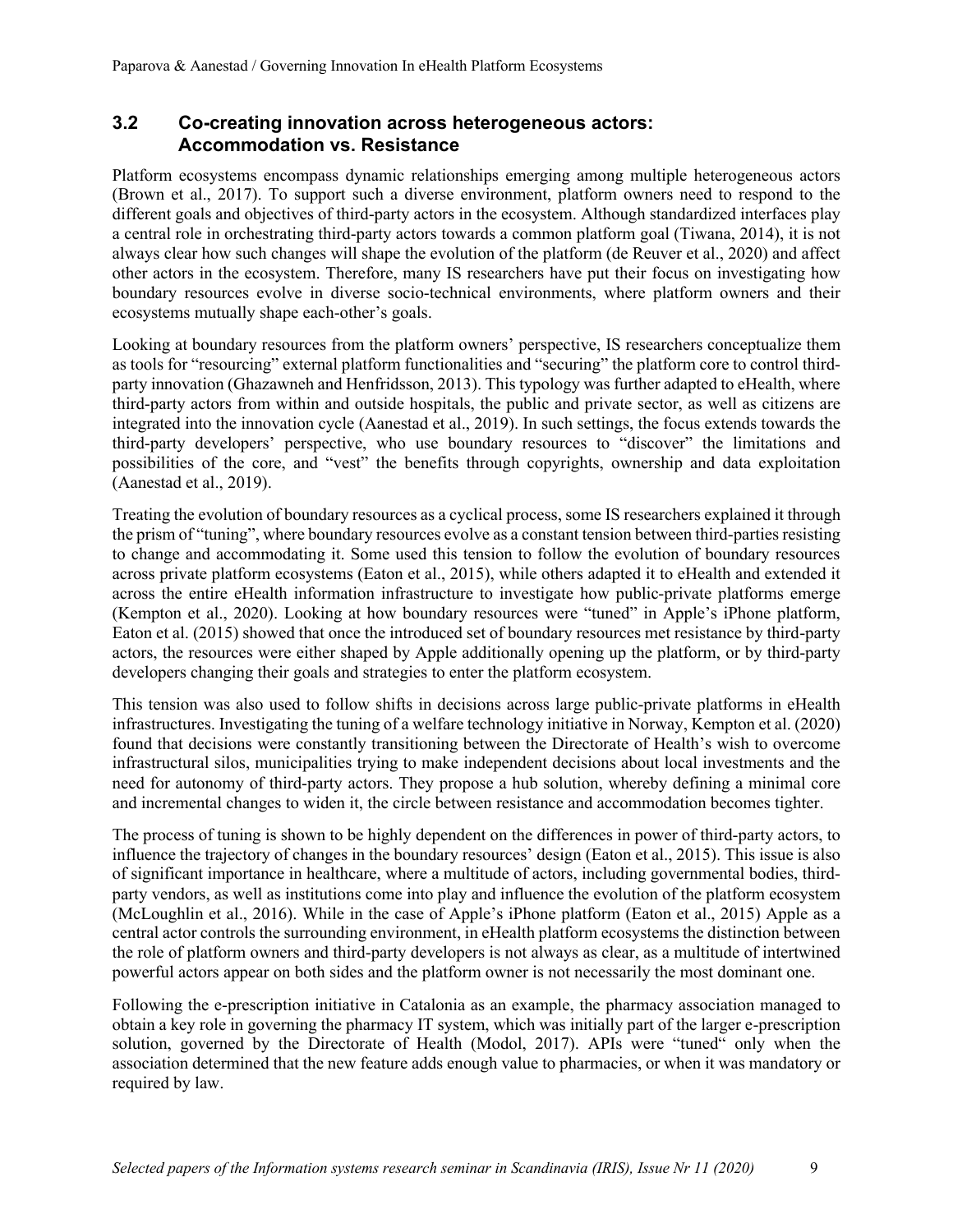#### **3.2 Co-creating innovation across heterogeneous actors: Accommodation vs. Resistance**

Platform ecosystems encompass dynamic relationships emerging among multiple heterogeneous actors (Brown et al., 2017). To support such a diverse environment, platform owners need to respond to the different goals and objectives of third-party actors in the ecosystem. Although standardized interfaces play a central role in orchestrating third-party actors towards a common platform goal (Tiwana, 2014), it is not always clear how such changes will shape the evolution of the platform (de Reuver et al., 2020) and affect other actors in the ecosystem. Therefore, many IS researchers have put their focus on investigating how boundary resources evolve in diverse socio-technical environments, where platform owners and their ecosystems mutually shape each-other's goals.

Looking at boundary resources from the platform owners' perspective, IS researchers conceptualize them as tools for "resourcing" external platform functionalities and "securing" the platform core to control thirdparty innovation (Ghazawneh and Henfridsson, 2013). This typology was further adapted to eHealth, where third-party actors from within and outside hospitals, the public and private sector, as well as citizens are integrated into the innovation cycle (Aanestad et al., 2019). In such settings, the focus extends towards the third-party developers' perspective, who use boundary resources to "discover" the limitations and possibilities of the core, and "vest" the benefits through copyrights, ownership and data exploitation (Aanestad et al., 2019).

Treating the evolution of boundary resources as a cyclical process, some IS researchers explained it through the prism of "tuning", where boundary resources evolve as a constant tension between third-parties resisting to change and accommodating it. Some used this tension to follow the evolution of boundary resources across private platform ecosystems (Eaton et al., 2015), while others adapted it to eHealth and extended it across the entire eHealth information infrastructure to investigate how public-private platforms emerge (Kempton et al., 2020). Looking at how boundary resources were "tuned" in Apple's iPhone platform, Eaton et al. (2015) showed that once the introduced set of boundary resources met resistance by third-party actors, the resources were either shaped by Apple additionally opening up the platform, or by third-party developers changing their goals and strategies to enter the platform ecosystem.

This tension was also used to follow shifts in decisions across large public-private platforms in eHealth infrastructures. Investigating the tuning of a welfare technology initiative in Norway, Kempton et al. (2020) found that decisions were constantly transitioning between the Directorate of Health's wish to overcome infrastructural silos, municipalities trying to make independent decisions about local investments and the need for autonomy of third-party actors. They propose a hub solution, whereby defining a minimal core and incremental changes to widen it, the circle between resistance and accommodation becomes tighter.

The process of tuning is shown to be highly dependent on the differences in power of third-party actors, to influence the trajectory of changes in the boundary resources' design (Eaton et al., 2015). This issue is also of significant importance in healthcare, where a multitude of actors, including governmental bodies, thirdparty vendors, as well as institutions come into play and influence the evolution of the platform ecosystem (McLoughlin et al., 2016). While in the case of Apple's iPhone platform (Eaton et al., 2015) Apple as a central actor controls the surrounding environment, in eHealth platform ecosystems the distinction between the role of platform owners and third-party developers is not always as clear, as a multitude of intertwined powerful actors appear on both sides and the platform owner is not necessarily the most dominant one.

Following the e-prescription initiative in Catalonia as an example, the pharmacy association managed to obtain a key role in governing the pharmacy IT system, which was initially part of the larger e-prescription solution, governed by the Directorate of Health (Modol, 2017). APIs were "tuned" only when the association determined that the new feature adds enough value to pharmacies, or when it was mandatory or required by law.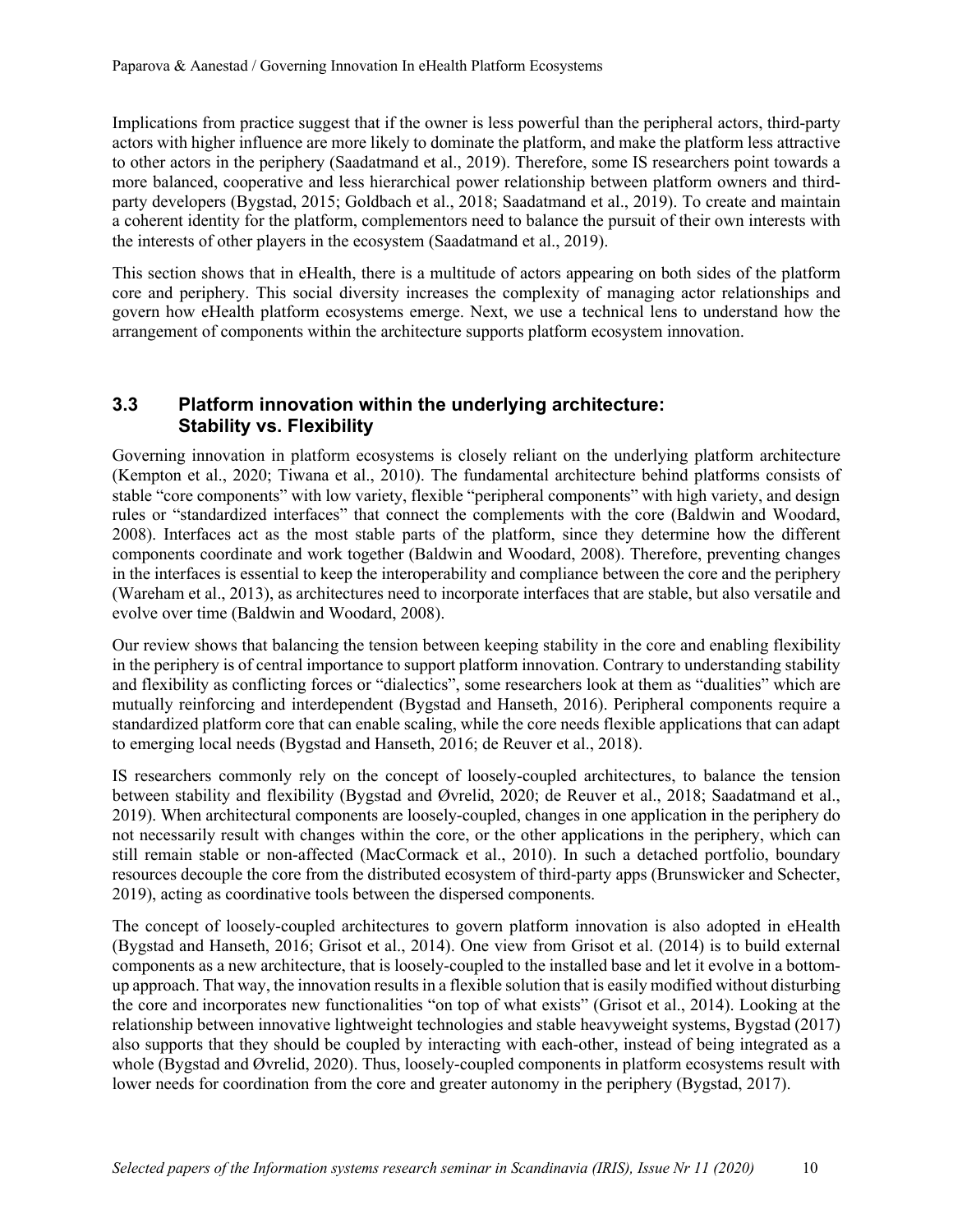Implications from practice suggest that if the owner is less powerful than the peripheral actors, third-party actors with higher influence are more likely to dominate the platform, and make the platform less attractive to other actors in the periphery (Saadatmand et al., 2019). Therefore, some IS researchers point towards a more balanced, cooperative and less hierarchical power relationship between platform owners and thirdparty developers (Bygstad, 2015; Goldbach et al., 2018; Saadatmand et al., 2019). To create and maintain a coherent identity for the platform, complementors need to balance the pursuit of their own interests with the interests of other players in the ecosystem (Saadatmand et al., 2019).

This section shows that in eHealth, there is a multitude of actors appearing on both sides of the platform core and periphery. This social diversity increases the complexity of managing actor relationships and govern how eHealth platform ecosystems emerge. Next, we use a technical lens to understand how the arrangement of components within the architecture supports platform ecosystem innovation.

#### **3.3 Platform innovation within the underlying architecture: Stability vs. Flexibility**

Governing innovation in platform ecosystems is closely reliant on the underlying platform architecture (Kempton et al., 2020; Tiwana et al., 2010). The fundamental architecture behind platforms consists of stable "core components" with low variety, flexible "peripheral components" with high variety, and design rules or "standardized interfaces" that connect the complements with the core (Baldwin and Woodard, 2008). Interfaces act as the most stable parts of the platform, since they determine how the different components coordinate and work together (Baldwin and Woodard, 2008). Therefore, preventing changes in the interfaces is essential to keep the interoperability and compliance between the core and the periphery (Wareham et al., 2013), as architectures need to incorporate interfaces that are stable, but also versatile and evolve over time (Baldwin and Woodard, 2008).

Our review shows that balancing the tension between keeping stability in the core and enabling flexibility in the periphery is of central importance to support platform innovation. Contrary to understanding stability and flexibility as conflicting forces or "dialectics", some researchers look at them as "dualities" which are mutually reinforcing and interdependent (Bygstad and Hanseth, 2016). Peripheral components require a standardized platform core that can enable scaling, while the core needs flexible applications that can adapt to emerging local needs (Bygstad and Hanseth, 2016; de Reuver et al., 2018).

IS researchers commonly rely on the concept of loosely-coupled architectures, to balance the tension between stability and flexibility (Bygstad and Øvrelid, 2020; de Reuver et al., 2018; Saadatmand et al., 2019). When architectural components are loosely-coupled, changes in one application in the periphery do not necessarily result with changes within the core, or the other applications in the periphery, which can still remain stable or non-affected (MacCormack et al., 2010). In such a detached portfolio, boundary resources decouple the core from the distributed ecosystem of third-party apps (Brunswicker and Schecter, 2019), acting as coordinative tools between the dispersed components.

The concept of loosely-coupled architectures to govern platform innovation is also adopted in eHealth (Bygstad and Hanseth, 2016; Grisot et al., 2014). One view from Grisot et al. (2014) is to build external components as a new architecture, that is loosely-coupled to the installed base and let it evolve in a bottomup approach. That way, the innovation results in a flexible solution that is easily modified without disturbing the core and incorporates new functionalities "on top of what exists" (Grisot et al., 2014). Looking at the relationship between innovative lightweight technologies and stable heavyweight systems, Bygstad (2017) also supports that they should be coupled by interacting with each-other, instead of being integrated as a whole (Bygstad and Øvrelid, 2020). Thus, loosely-coupled components in platform ecosystems result with lower needs for coordination from the core and greater autonomy in the periphery (Bygstad, 2017).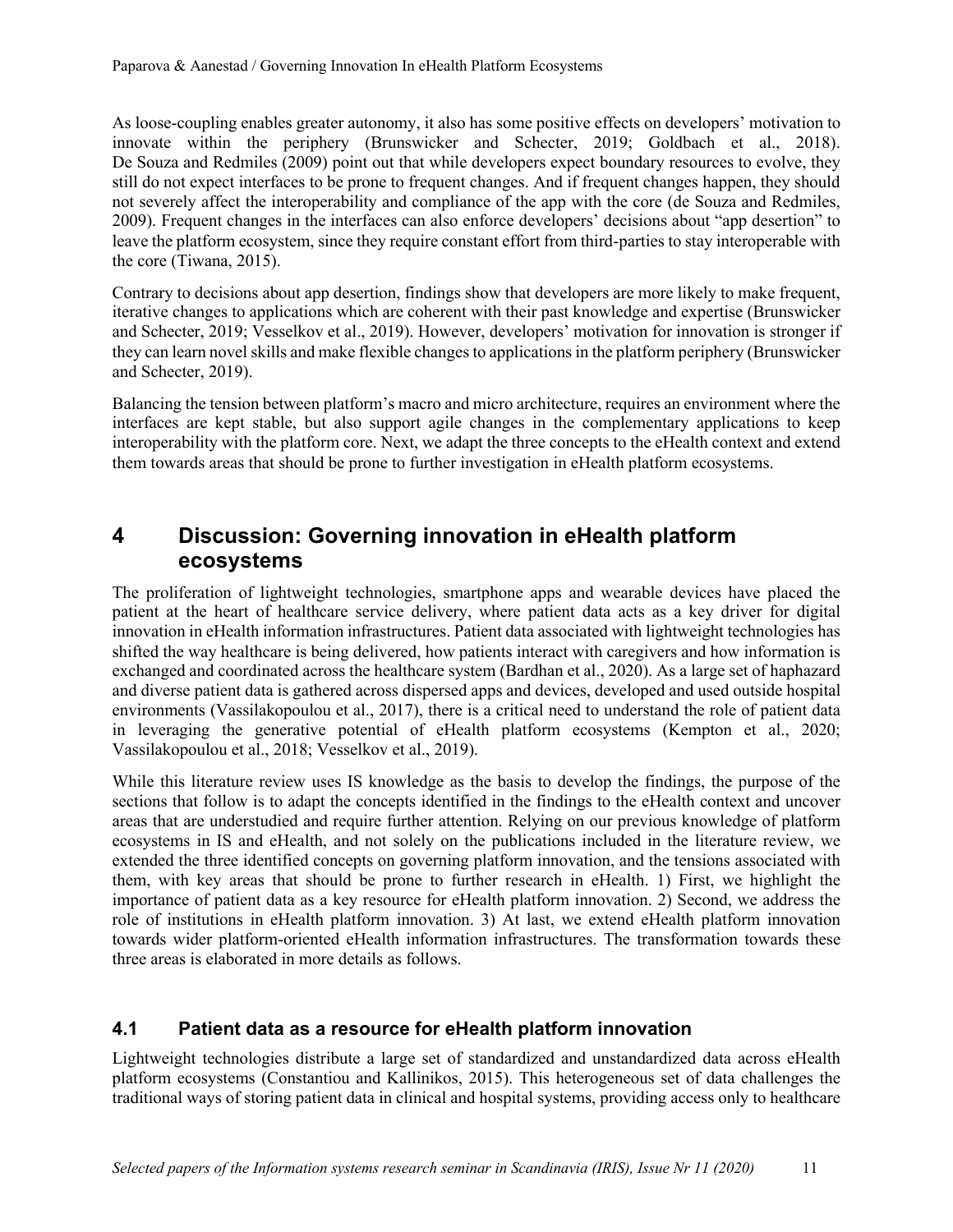As loose-coupling enables greater autonomy, it also has some positive effects on developers' motivation to innovate within the periphery (Brunswicker and Schecter, 2019; Goldbach et al., 2018). De Souza and Redmiles (2009) point out that while developers expect boundary resources to evolve, they still do not expect interfaces to be prone to frequent changes. And if frequent changes happen, they should not severely affect the interoperability and compliance of the app with the core (de Souza and Redmiles, 2009). Frequent changes in the interfaces can also enforce developers' decisions about "app desertion" to leave the platform ecosystem, since they require constant effort from third-parties to stay interoperable with the core (Tiwana, 2015).

Contrary to decisions about app desertion, findings show that developers are more likely to make frequent, iterative changes to applications which are coherent with their past knowledge and expertise (Brunswicker and Schecter, 2019; Vesselkov et al., 2019). However, developers' motivation for innovation is stronger if they can learn novel skills and make flexible changes to applications in the platform periphery (Brunswicker and Schecter, 2019).

Balancing the tension between platform's macro and micro architecture, requires an environment where the interfaces are kept stable, but also support agile changes in the complementary applications to keep interoperability with the platform core. Next, we adapt the three concepts to the eHealth context and extend them towards areas that should be prone to further investigation in eHealth platform ecosystems.

### **4 Discussion: Governing innovation in eHealth platform ecosystems**

The proliferation of lightweight technologies, smartphone apps and wearable devices have placed the patient at the heart of healthcare service delivery, where patient data acts as a key driver for digital innovation in eHealth information infrastructures. Patient data associated with lightweight technologies has shifted the way healthcare is being delivered, how patients interact with caregivers and how information is exchanged and coordinated across the healthcare system (Bardhan et al., 2020). As a large set of haphazard and diverse patient data is gathered across dispersed apps and devices, developed and used outside hospital environments (Vassilakopoulou et al., 2017), there is a critical need to understand the role of patient data in leveraging the generative potential of eHealth platform ecosystems (Kempton et al., 2020; Vassilakopoulou et al., 2018; Vesselkov et al., 2019).

While this literature review uses IS knowledge as the basis to develop the findings, the purpose of the sections that follow is to adapt the concepts identified in the findings to the eHealth context and uncover areas that are understudied and require further attention. Relying on our previous knowledge of platform ecosystems in IS and eHealth, and not solely on the publications included in the literature review, we extended the three identified concepts on governing platform innovation, and the tensions associated with them, with key areas that should be prone to further research in eHealth. 1) First, we highlight the importance of patient data as a key resource for eHealth platform innovation. 2) Second, we address the role of institutions in eHealth platform innovation. 3) At last, we extend eHealth platform innovation towards wider platform-oriented eHealth information infrastructures. The transformation towards these three areas is elaborated in more details as follows.

#### **4.1 Patient data as a resource for eHealth platform innovation**

Lightweight technologies distribute a large set of standardized and unstandardized data across eHealth platform ecosystems (Constantiou and Kallinikos, 2015). This heterogeneous set of data challenges the traditional ways of storing patient data in clinical and hospital systems, providing access only to healthcare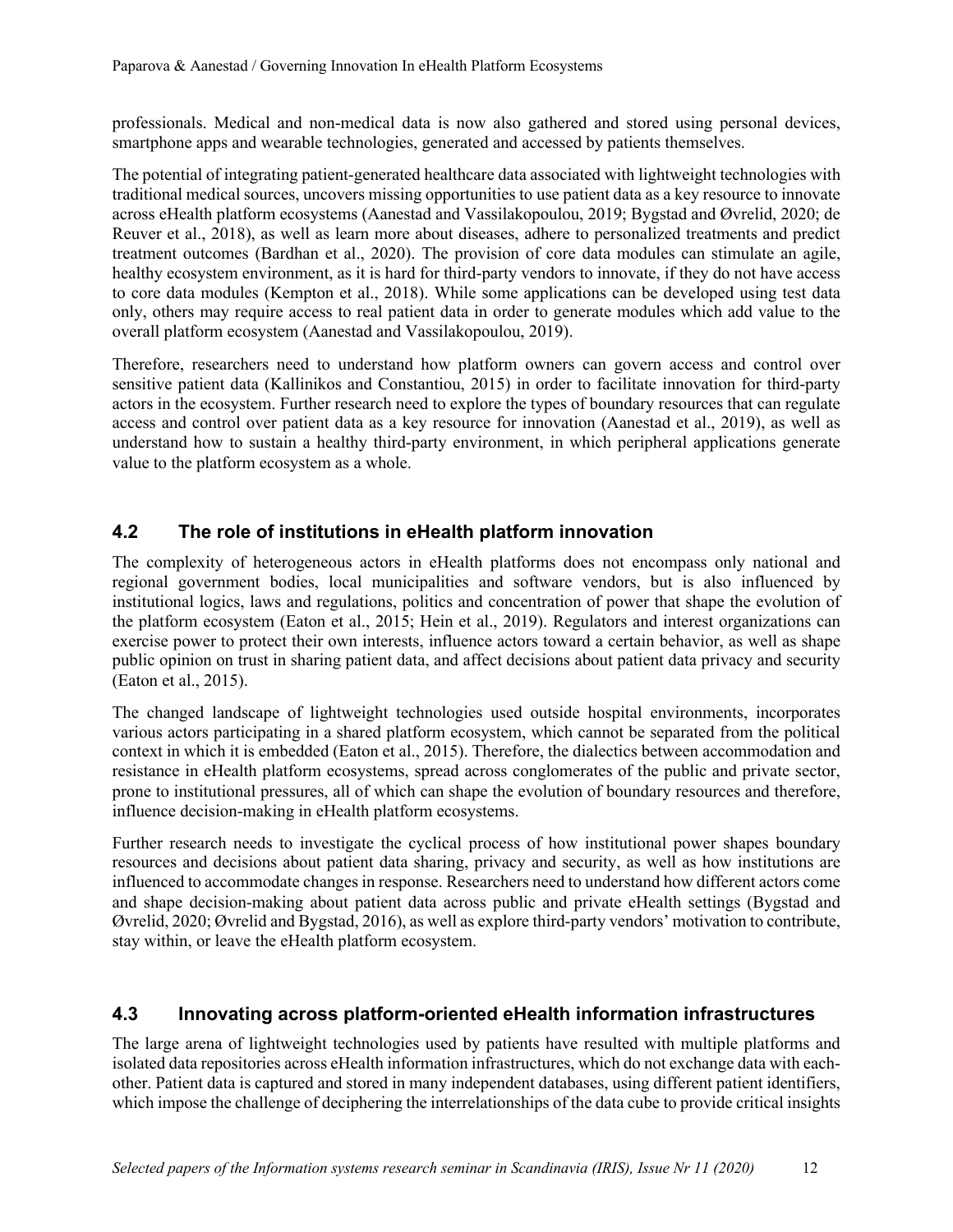professionals. Medical and non-medical data is now also gathered and stored using personal devices, smartphone apps and wearable technologies, generated and accessed by patients themselves.

The potential of integrating patient-generated healthcare data associated with lightweight technologies with traditional medical sources, uncovers missing opportunities to use patient data as a key resource to innovate across eHealth platform ecosystems (Aanestad and Vassilakopoulou, 2019; Bygstad and Øvrelid, 2020; de Reuver et al., 2018), as well as learn more about diseases, adhere to personalized treatments and predict treatment outcomes (Bardhan et al., 2020). The provision of core data modules can stimulate an agile, healthy ecosystem environment, as it is hard for third-party vendors to innovate, if they do not have access to core data modules (Kempton et al., 2018). While some applications can be developed using test data only, others may require access to real patient data in order to generate modules which add value to the overall platform ecosystem (Aanestad and Vassilakopoulou, 2019).

Therefore, researchers need to understand how platform owners can govern access and control over sensitive patient data (Kallinikos and Constantiou, 2015) in order to facilitate innovation for third-party actors in the ecosystem. Further research need to explore the types of boundary resources that can regulate access and control over patient data as a key resource for innovation (Aanestad et al., 2019), as well as understand how to sustain a healthy third-party environment, in which peripheral applications generate value to the platform ecosystem as a whole.

#### **4.2 The role of institutions in eHealth platform innovation**

The complexity of heterogeneous actors in eHealth platforms does not encompass only national and regional government bodies, local municipalities and software vendors, but is also influenced by institutional logics, laws and regulations, politics and concentration of power that shape the evolution of the platform ecosystem (Eaton et al., 2015; Hein et al., 2019). Regulators and interest organizations can exercise power to protect their own interests, influence actors toward a certain behavior, as well as shape public opinion on trust in sharing patient data, and affect decisions about patient data privacy and security (Eaton et al., 2015).

The changed landscape of lightweight technologies used outside hospital environments, incorporates various actors participating in a shared platform ecosystem, which cannot be separated from the political context in which it is embedded (Eaton et al., 2015). Therefore, the dialectics between accommodation and resistance in eHealth platform ecosystems, spread across conglomerates of the public and private sector, prone to institutional pressures, all of which can shape the evolution of boundary resources and therefore, influence decision-making in eHealth platform ecosystems.

Further research needs to investigate the cyclical process of how institutional power shapes boundary resources and decisions about patient data sharing, privacy and security, as well as how institutions are influenced to accommodate changes in response. Researchers need to understand how different actors come and shape decision-making about patient data across public and private eHealth settings (Bygstad and Øvrelid, 2020; Øvrelid and Bygstad, 2016), as well as explore third-party vendors' motivation to contribute, stay within, or leave the eHealth platform ecosystem.

#### **4.3 Innovating across platform-oriented eHealth information infrastructures**

The large arena of lightweight technologies used by patients have resulted with multiple platforms and isolated data repositories across eHealth information infrastructures, which do not exchange data with eachother. Patient data is captured and stored in many independent databases, using different patient identifiers, which impose the challenge of deciphering the interrelationships of the data cube to provide critical insights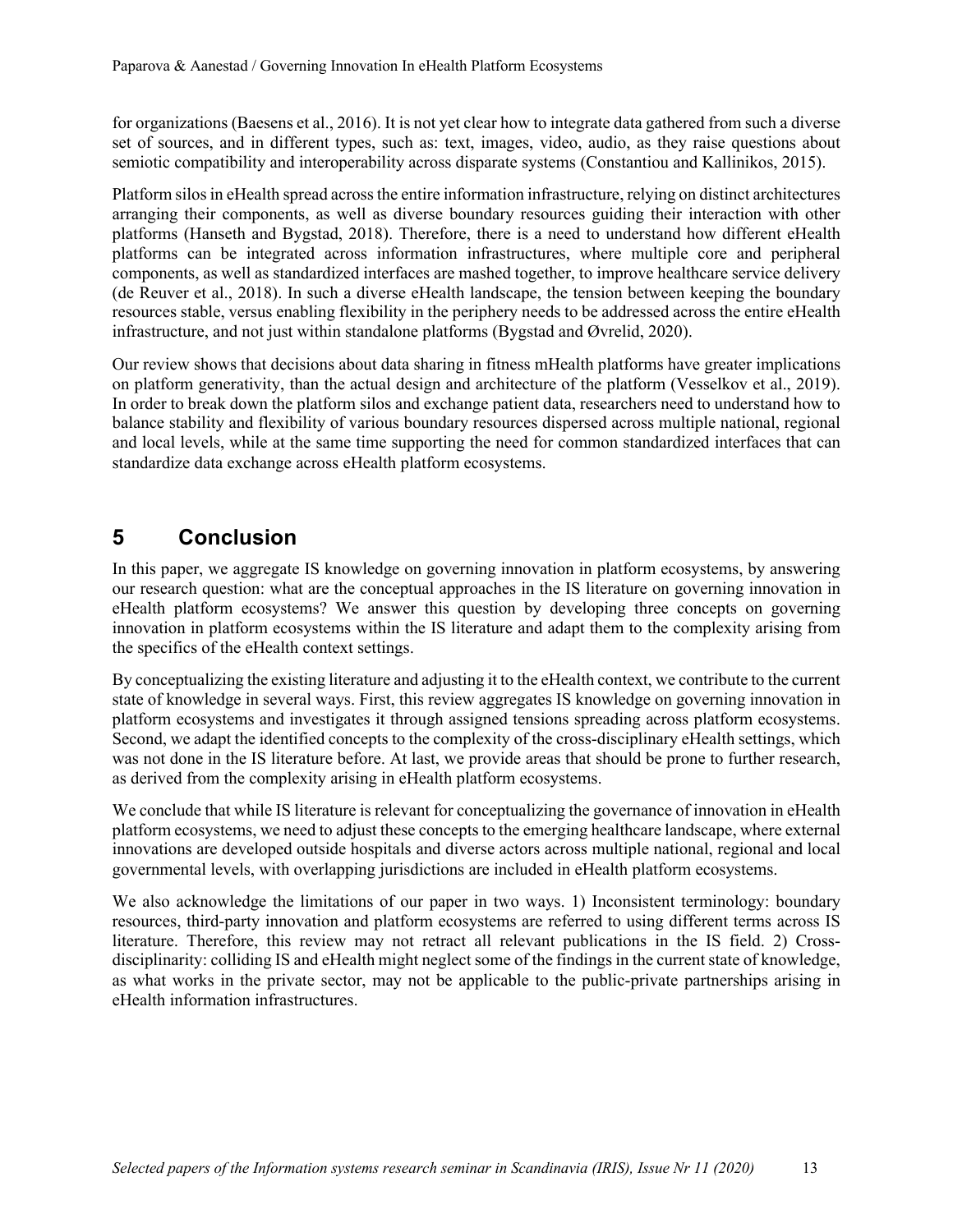for organizations (Baesens et al., 2016). It is not yet clear how to integrate data gathered from such a diverse set of sources, and in different types, such as: text, images, video, audio, as they raise questions about semiotic compatibility and interoperability across disparate systems (Constantiou and Kallinikos, 2015).

Platform silos in eHealth spread across the entire information infrastructure, relying on distinct architectures arranging their components, as well as diverse boundary resources guiding their interaction with other platforms (Hanseth and Bygstad, 2018). Therefore, there is a need to understand how different eHealth platforms can be integrated across information infrastructures, where multiple core and peripheral components, as well as standardized interfaces are mashed together, to improve healthcare service delivery (de Reuver et al., 2018). In such a diverse eHealth landscape, the tension between keeping the boundary resources stable, versus enabling flexibility in the periphery needs to be addressed across the entire eHealth infrastructure, and not just within standalone platforms (Bygstad and Øvrelid, 2020).

Our review shows that decisions about data sharing in fitness mHealth platforms have greater implications on platform generativity, than the actual design and architecture of the platform (Vesselkov et al., 2019). In order to break down the platform silos and exchange patient data, researchers need to understand how to balance stability and flexibility of various boundary resources dispersed across multiple national, regional and local levels, while at the same time supporting the need for common standardized interfaces that can standardize data exchange across eHealth platform ecosystems.

## **5 Conclusion**

In this paper, we aggregate IS knowledge on governing innovation in platform ecosystems, by answering our research question: what are the conceptual approaches in the IS literature on governing innovation in eHealth platform ecosystems? We answer this question by developing three concepts on governing innovation in platform ecosystems within the IS literature and adapt them to the complexity arising from the specifics of the eHealth context settings.

By conceptualizing the existing literature and adjusting it to the eHealth context, we contribute to the current state of knowledge in several ways. First, this review aggregates IS knowledge on governing innovation in platform ecosystems and investigates it through assigned tensions spreading across platform ecosystems. Second, we adapt the identified concepts to the complexity of the cross-disciplinary eHealth settings, which was not done in the IS literature before. At last, we provide areas that should be prone to further research, as derived from the complexity arising in eHealth platform ecosystems.

We conclude that while IS literature is relevant for conceptualizing the governance of innovation in eHealth platform ecosystems, we need to adjust these concepts to the emerging healthcare landscape, where external innovations are developed outside hospitals and diverse actors across multiple national, regional and local governmental levels, with overlapping jurisdictions are included in eHealth platform ecosystems.

We also acknowledge the limitations of our paper in two ways. 1) Inconsistent terminology: boundary resources, third-party innovation and platform ecosystems are referred to using different terms across IS literature. Therefore, this review may not retract all relevant publications in the IS field. 2) Crossdisciplinarity: colliding IS and eHealth might neglect some of the findings in the current state of knowledge, as what works in the private sector, may not be applicable to the public-private partnerships arising in eHealth information infrastructures.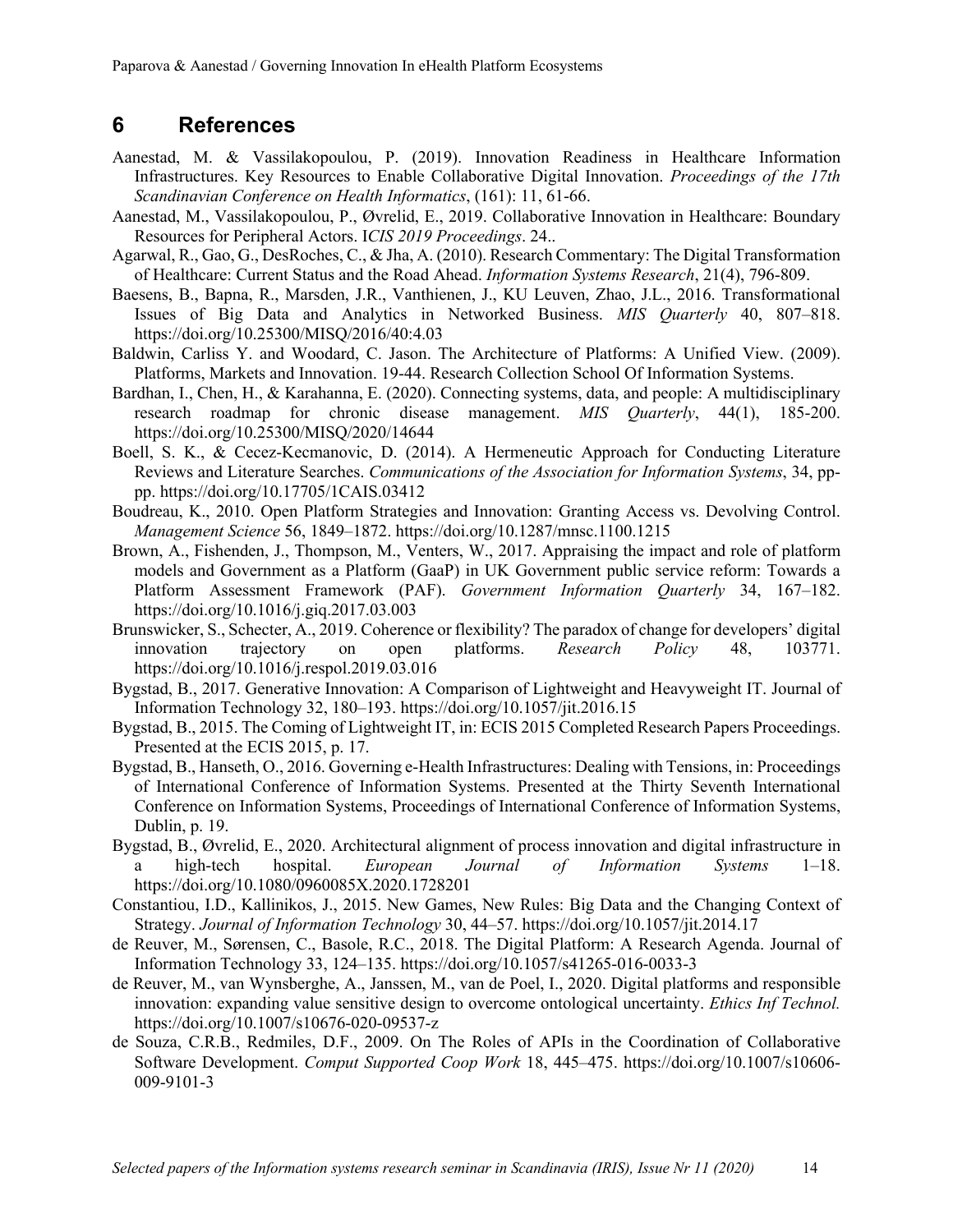#### **6 References**

- Aanestad, M. & Vassilakopoulou, P. (2019). Innovation Readiness in Healthcare Information Infrastructures. Key Resources to Enable Collaborative Digital Innovation. *Proceedings of the 17th Scandinavian Conference on Health Informatics*, (161): 11, 61-66.
- Aanestad, M., Vassilakopoulou, P., Øvrelid, E., 2019. Collaborative Innovation in Healthcare: Boundary Resources for Peripheral Actors. I*CIS 2019 Proceedings*. 24..
- Agarwal, R., Gao, G., DesRoches, C., & Jha, A. (2010). Research Commentary: The Digital Transformation of Healthcare: Current Status and the Road Ahead. *Information Systems Research*, 21(4), 796-809.
- Baesens, B., Bapna, R., Marsden, J.R., Vanthienen, J., KU Leuven, Zhao, J.L., 2016. Transformational Issues of Big Data and Analytics in Networked Business. *MIS Quarterly* 40, 807–818. https://doi.org/10.25300/MISQ/2016/40:4.03
- Baldwin, Carliss Y. and Woodard, C. Jason. The Architecture of Platforms: A Unified View. (2009). Platforms, Markets and Innovation. 19-44. Research Collection School Of Information Systems.
- Bardhan, I., Chen, H., & Karahanna, E. (2020). Connecting systems, data, and people: A multidisciplinary research roadmap for chronic disease management. *MIS Quarterly*, 44(1), 185-200. https://doi.org/10.25300/MISQ/2020/14644
- Boell, S. K., & Cecez-Kecmanovic, D. (2014). A Hermeneutic Approach for Conducting Literature Reviews and Literature Searches. *Communications of the Association for Information Systems*, 34, pppp. https://doi.org/10.17705/1CAIS.03412
- Boudreau, K., 2010. Open Platform Strategies and Innovation: Granting Access vs. Devolving Control. *Management Science* 56, 1849–1872. https://doi.org/10.1287/mnsc.1100.1215
- Brown, A., Fishenden, J., Thompson, M., Venters, W., 2017. Appraising the impact and role of platform models and Government as a Platform (GaaP) in UK Government public service reform: Towards a Platform Assessment Framework (PAF). *Government Information Quarterly* 34, 167–182. https://doi.org/10.1016/j.giq.2017.03.003
- Brunswicker, S., Schecter, A., 2019. Coherence or flexibility? The paradox of change for developers' digital innovation trajectory on open platforms. *Research Policy* 48, 103771. https://doi.org/10.1016/j.respol.2019.03.016
- Bygstad, B., 2017. Generative Innovation: A Comparison of Lightweight and Heavyweight IT. Journal of Information Technology 32, 180–193. https://doi.org/10.1057/jit.2016.15
- Bygstad, B., 2015. The Coming of Lightweight IT, in: ECIS 2015 Completed Research Papers Proceedings. Presented at the ECIS 2015, p. 17.
- Bygstad, B., Hanseth, O., 2016. Governing e-Health Infrastructures: Dealing with Tensions, in: Proceedings of International Conference of Information Systems. Presented at the Thirty Seventh International Conference on Information Systems, Proceedings of International Conference of Information Systems, Dublin, p. 19.
- Bygstad, B., Øvrelid, E., 2020. Architectural alignment of process innovation and digital infrastructure in a high-tech hospital. *European Journal of Information Systems* 1–18. https://doi.org/10.1080/0960085X.2020.1728201
- Constantiou, I.D., Kallinikos, J., 2015. New Games, New Rules: Big Data and the Changing Context of Strategy. *Journal of Information Technology* 30, 44–57. https://doi.org/10.1057/jit.2014.17
- de Reuver, M., Sørensen, C., Basole, R.C., 2018. The Digital Platform: A Research Agenda. Journal of Information Technology 33, 124–135. https://doi.org/10.1057/s41265-016-0033-3
- de Reuver, M., van Wynsberghe, A., Janssen, M., van de Poel, I., 2020. Digital platforms and responsible innovation: expanding value sensitive design to overcome ontological uncertainty. *Ethics Inf Technol.* https://doi.org/10.1007/s10676-020-09537-z
- de Souza, C.R.B., Redmiles, D.F., 2009. On The Roles of APIs in the Coordination of Collaborative Software Development. *Comput Supported Coop Work* 18, 445–475. https://doi.org/10.1007/s10606- 009-9101-3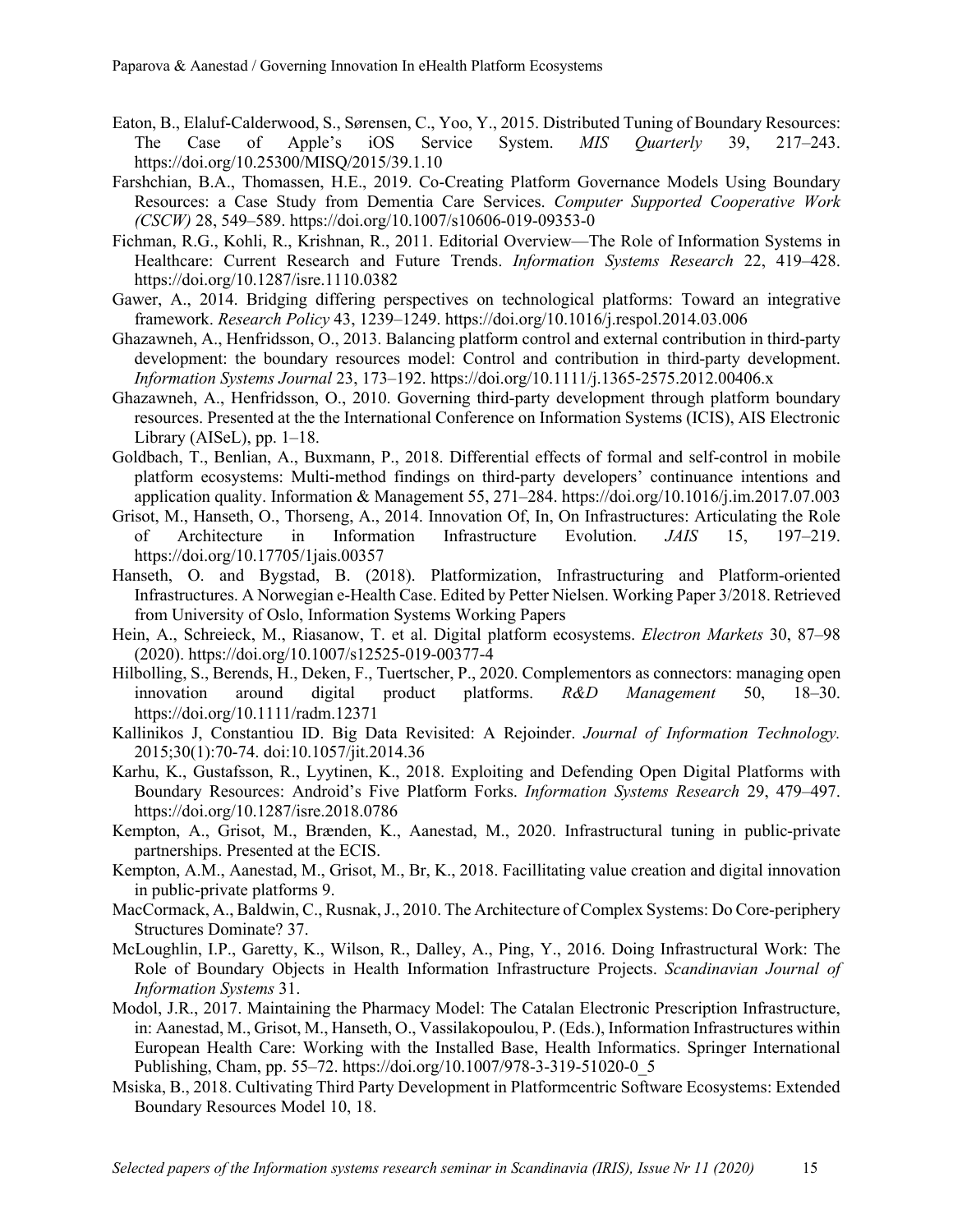- Eaton, B., Elaluf-Calderwood, S., Sørensen, C., Yoo, Y., 2015. Distributed Tuning of Boundary Resources: The Case of Apple's iOS Service System. *MIS Quarterly* 39, 217–243. https://doi.org/10.25300/MISQ/2015/39.1.10
- Farshchian, B.A., Thomassen, H.E., 2019. Co-Creating Platform Governance Models Using Boundary Resources: a Case Study from Dementia Care Services. *Computer Supported Cooperative Work (CSCW)* 28, 549–589. https://doi.org/10.1007/s10606-019-09353-0
- Fichman, R.G., Kohli, R., Krishnan, R., 2011. Editorial Overview—The Role of Information Systems in Healthcare: Current Research and Future Trends. *Information Systems Research* 22, 419–428. https://doi.org/10.1287/isre.1110.0382
- Gawer, A., 2014. Bridging differing perspectives on technological platforms: Toward an integrative framework. *Research Policy* 43, 1239–1249. https://doi.org/10.1016/j.respol.2014.03.006
- Ghazawneh, A., Henfridsson, O., 2013. Balancing platform control and external contribution in third-party development: the boundary resources model: Control and contribution in third-party development. *Information Systems Journal* 23, 173–192. https://doi.org/10.1111/j.1365-2575.2012.00406.x
- Ghazawneh, A., Henfridsson, O., 2010. Governing third-party development through platform boundary resources. Presented at the the International Conference on Information Systems (ICIS), AIS Electronic Library (AISeL), pp.  $1-18$ .
- Goldbach, T., Benlian, A., Buxmann, P., 2018. Differential effects of formal and self-control in mobile platform ecosystems: Multi-method findings on third-party developers' continuance intentions and application quality. Information & Management 55, 271–284. https://doi.org/10.1016/j.im.2017.07.003
- Grisot, M., Hanseth, O., Thorseng, A., 2014. Innovation Of, In, On Infrastructures: Articulating the Role of Architecture in Information Infrastructure Evolution. *JAIS* 15, 197–219. https://doi.org/10.17705/1jais.00357
- Hanseth, O. and Bygstad, B. (2018). Platformization, Infrastructuring and Platform-oriented Infrastructures. A Norwegian e-Health Case. Edited by Petter Nielsen. Working Paper 3/2018. Retrieved from University of Oslo, Information Systems Working Papers
- Hein, A., Schreieck, M., Riasanow, T. et al. Digital platform ecosystems. *Electron Markets* 30, 87–98 (2020). https://doi.org/10.1007/s12525-019-00377-4
- Hilbolling, S., Berends, H., Deken, F., Tuertscher, P., 2020. Complementors as connectors: managing open innovation around digital product platforms. *R&D Management* 50, 18–30. https://doi.org/10.1111/radm.12371
- Kallinikos J, Constantiou ID. Big Data Revisited: A Rejoinder. *Journal of Information Technology.* 2015;30(1):70-74. doi:10.1057/jit.2014.36
- Karhu, K., Gustafsson, R., Lyytinen, K., 2018. Exploiting and Defending Open Digital Platforms with Boundary Resources: Android's Five Platform Forks. *Information Systems Research* 29, 479–497. https://doi.org/10.1287/isre.2018.0786
- Kempton, A., Grisot, M., Brænden, K., Aanestad, M., 2020. Infrastructural tuning in public-private partnerships. Presented at the ECIS.
- Kempton, A.M., Aanestad, M., Grisot, M., Br, K., 2018. Facillitating value creation and digital innovation in public-private platforms 9.
- MacCormack, A., Baldwin, C., Rusnak, J., 2010. The Architecture of Complex Systems: Do Core-periphery Structures Dominate? 37.
- McLoughlin, I.P., Garetty, K., Wilson, R., Dalley, A., Ping, Y., 2016. Doing Infrastructural Work: The Role of Boundary Objects in Health Information Infrastructure Projects. *Scandinavian Journal of Information Systems* 31.
- Modol, J.R., 2017. Maintaining the Pharmacy Model: The Catalan Electronic Prescription Infrastructure, in: Aanestad, M., Grisot, M., Hanseth, O., Vassilakopoulou, P. (Eds.), Information Infrastructures within European Health Care: Working with the Installed Base, Health Informatics. Springer International Publishing, Cham, pp. 55–72. https://doi.org/10.1007/978-3-319-51020-0\_5
- Msiska, B., 2018. Cultivating Third Party Development in Platformcentric Software Ecosystems: Extended Boundary Resources Model 10, 18.